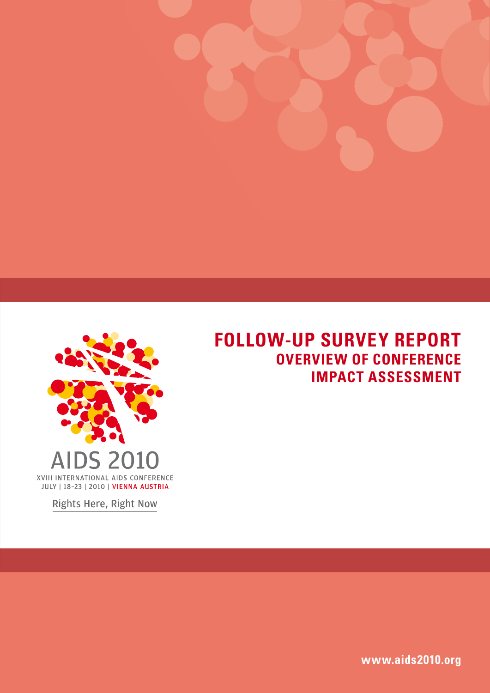

# **FOLLOW-UP SURVEY REPORT Overview of Conference Impact Assessment**

Rights Here, Right Now

**www.aids2010.org**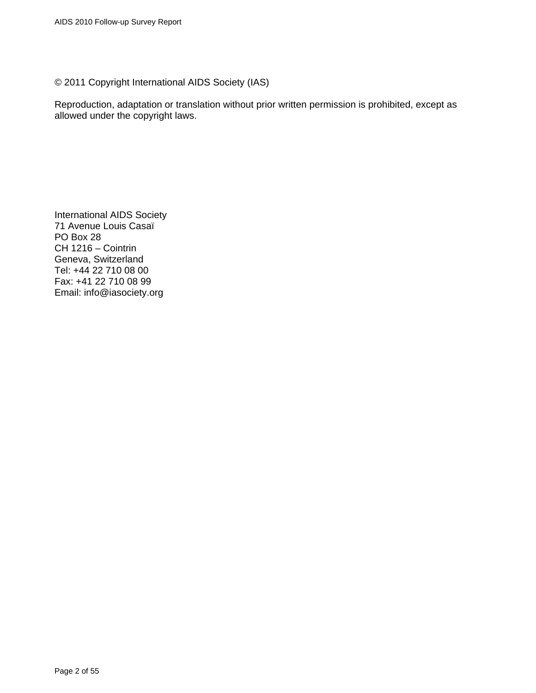© 2011 Copyright International AIDS Society (IAS)

Reproduction, adaptation or translation without prior written permission is prohibited, except as allowed under the copyright laws.

International AIDS Society 71 Avenue Louis Casaï PO Box 28 CH 1216 – Cointrin Geneva, Switzerland Tel: +44 22 710 08 00 Fax: +41 22 710 08 99 Email: info@iasociety.org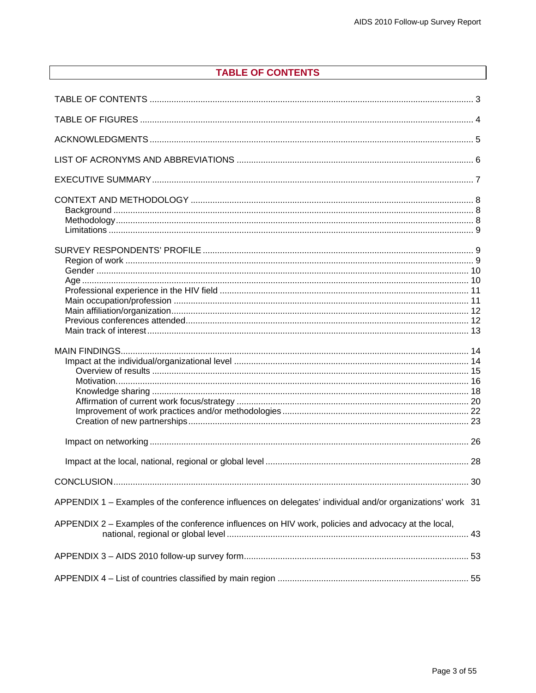# **TABLE OF CONTENTS**

<span id="page-2-0"></span>

| APPENDIX 1 – Examples of the conference influences on delegates' individual and/or organizations' work 31 |  |
|-----------------------------------------------------------------------------------------------------------|--|
| APPENDIX 2 - Examples of the conference influences on HIV work, policies and advocacy at the local,       |  |
|                                                                                                           |  |
|                                                                                                           |  |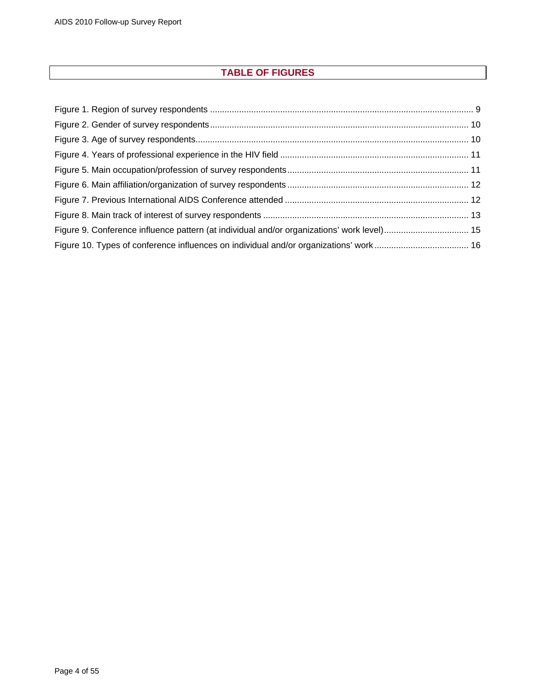# **TABLE OF FIGURES**

<span id="page-3-0"></span>

| Figure 9. Conference influence pattern (at individual and/or organizations' work level) 15 |  |
|--------------------------------------------------------------------------------------------|--|
|                                                                                            |  |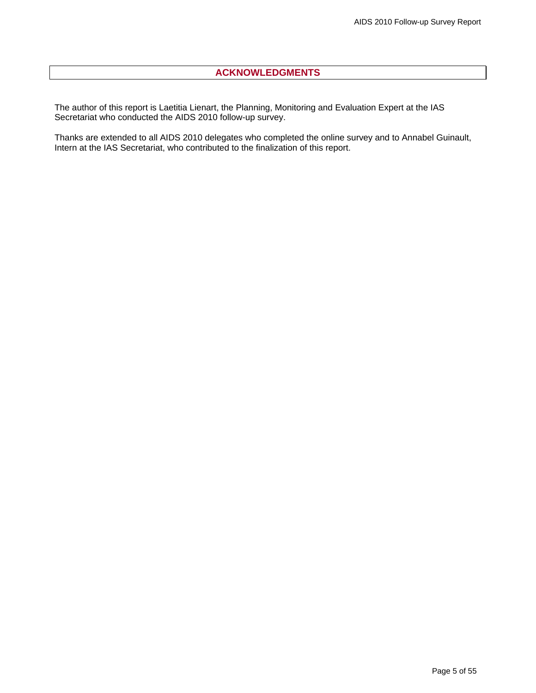# **ACKNOWLEDGMENTS**

<span id="page-4-0"></span>The author of this report is Laetitia Lienart, the Planning, Monitoring and Evaluation Expert at the IAS Secretariat who conducted the AIDS 2010 follow-up survey.

Thanks are extended to all AIDS 2010 delegates who completed the online survey and to Annabel Guinault, Intern at the IAS Secretariat, who contributed to the finalization of this report.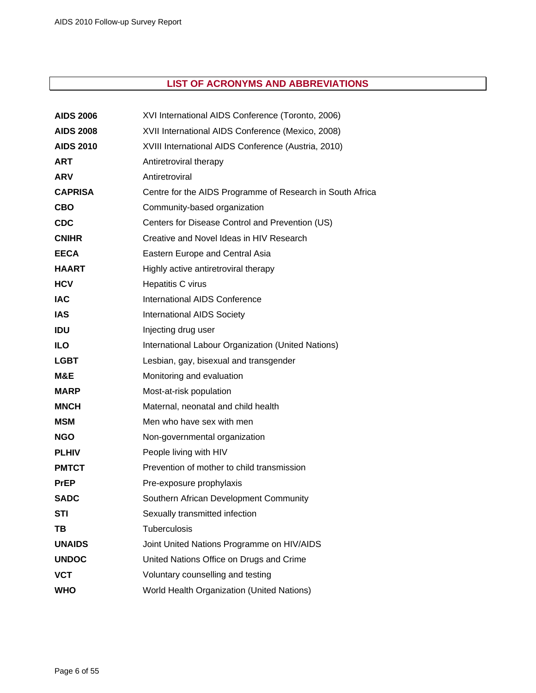# **LIST OF ACRONYMS AND ABBREVIATIONS**

<span id="page-5-0"></span>

| <b>AIDS 2006</b> | XVI International AIDS Conference (Toronto, 2006)         |
|------------------|-----------------------------------------------------------|
| <b>AIDS 2008</b> | XVII International AIDS Conference (Mexico, 2008)         |
| <b>AIDS 2010</b> | XVIII International AIDS Conference (Austria, 2010)       |
| <b>ART</b>       | Antiretroviral therapy                                    |
| <b>ARV</b>       | Antiretroviral                                            |
| <b>CAPRISA</b>   | Centre for the AIDS Programme of Research in South Africa |
| <b>CBO</b>       | Community-based organization                              |
| <b>CDC</b>       | Centers for Disease Control and Prevention (US)           |
| <b>CNIHR</b>     | Creative and Novel Ideas in HIV Research                  |
| <b>EECA</b>      | Eastern Europe and Central Asia                           |
| <b>HAART</b>     | Highly active antiretroviral therapy                      |
| <b>HCV</b>       | Hepatitis C virus                                         |
| <b>IAC</b>       | International AIDS Conference                             |
| <b>IAS</b>       | <b>International AIDS Society</b>                         |
| <b>IDU</b>       | Injecting drug user                                       |
| <b>ILO</b>       | International Labour Organization (United Nations)        |
| <b>LGBT</b>      | Lesbian, gay, bisexual and transgender                    |
| M&E              | Monitoring and evaluation                                 |
| <b>MARP</b>      | Most-at-risk population                                   |
| <b>MNCH</b>      | Maternal, neonatal and child health                       |
| <b>MSM</b>       | Men who have sex with men                                 |
| <b>NGO</b>       | Non-governmental organization                             |
| <b>PLHIV</b>     | People living with HIV                                    |
| <b>PMTCT</b>     | Prevention of mother to child transmission                |
| <b>PrEP</b>      | Pre-exposure prophylaxis                                  |
| <b>SADC</b>      | Southern African Development Community                    |
| <b>STI</b>       | Sexually transmitted infection                            |
| TВ               | Tuberculosis                                              |
| <b>UNAIDS</b>    | Joint United Nations Programme on HIV/AIDS                |
| <b>UNDOC</b>     | United Nations Office on Drugs and Crime                  |
| <b>VCT</b>       | Voluntary counselling and testing                         |
| <b>WHO</b>       | World Health Organization (United Nations)                |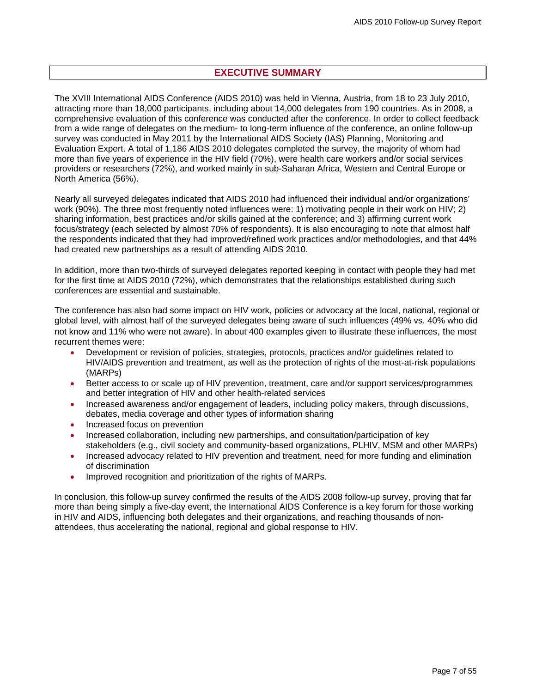# **EXECUTIVE SUMMARY**

<span id="page-6-0"></span>The XVIII International AIDS Conference (AIDS 2010) was held in Vienna, Austria, from 18 to 23 July 2010, attracting more than 18,000 participants, including about 14,000 delegates from 190 countries. As in 2008, a comprehensive evaluation of this conference was conducted after the conference. In order to collect feedback from a wide range of delegates on the medium- to long-term influence of the conference, an online follow-up survey was conducted in May 2011 by the International AIDS Society (IAS) Planning, Monitoring and Evaluation Expert. A total of 1,186 AIDS 2010 delegates completed the survey, the majority of whom had more than five years of experience in the HIV field (70%), were health care workers and/or social services providers or researchers (72%), and worked mainly in sub-Saharan Africa, Western and Central Europe or North America (56%).

Nearly all surveyed delegates indicated that AIDS 2010 had influenced their individual and/or organizations' work (90%). The three most frequently noted influences were: 1) motivating people in their work on HIV; 2) sharing information, best practices and/or skills gained at the conference; and 3) affirming current work focus/strategy (each selected by almost 70% of respondents). It is also encouraging to note that almost half the respondents indicated that they had improved/refined work practices and/or methodologies, and that 44% had created new partnerships as a result of attending AIDS 2010.

In addition, more than two-thirds of surveyed delegates reported keeping in contact with people they had met for the first time at AIDS 2010 (72%), which demonstrates that the relationships established during such conferences are essential and sustainable.

The conference has also had some impact on HIV work, policies or advocacy at the local, national, regional or global level, with almost half of the surveyed delegates being aware of such influences (49% vs. 40% who did not know and 11% who were not aware). In about 400 examples given to illustrate these influences, the most recurrent themes were:

- Development or revision of policies, strategies, protocols, practices and/or guidelines related to HIV/AIDS prevention and treatment, as well as the protection of rights of the most-at-risk populations (MARPs)
- Better access to or scale up of HIV prevention, treatment, care and/or support services/programmes and better integration of HIV and other health-related services
- Increased awareness and/or engagement of leaders, including policy makers, through discussions, debates, media coverage and other types of information sharing
- Increased focus on prevention
- Increased collaboration, including new partnerships, and consultation/participation of key stakeholders (e.g., civil society and community-based organizations, PLHIV, MSM and other MARPs)
- Increased advocacy related to HIV prevention and treatment, need for more funding and elimination of discrimination
- Improved recognition and prioritization of the rights of MARPs.

In conclusion, this follow-up survey confirmed the results of the AIDS 2008 follow-up survey, proving that far more than being simply a five-day event, the International AIDS Conference is a key forum for those working in HIV and AIDS, influencing both delegates and their organizations, and reaching thousands of nonattendees, thus accelerating the national, regional and global response to HIV.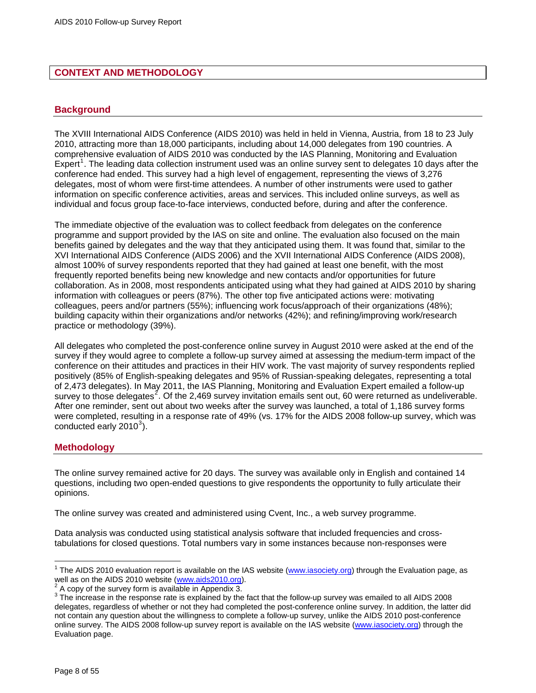# <span id="page-7-0"></span>**CONTEXT AND METHODOLOGY**

### **Background**

The XVIII International AIDS Conference (AIDS 2010) was held in held in Vienna, Austria, from 18 to 23 July 2010, attracting more than 18,000 participants, including about 14,000 delegates from 190 countries. A comprehensive evaluation of AIDS 2010 was conducted by the IAS Planning, Monitoring and Evaluation Expert<sup>[1](#page-7-1)</sup>. The leading data collection instrument used was an online survey sent to delegates 10 days after the conference had ended. This survey had a high level of engagement, representing the views of 3,276 delegates, most of whom were first-time attendees. A number of other instruments were used to gather information on specific conference activities, areas and services. This included online surveys, as well as individual and focus group face-to-face interviews, conducted before, during and after the conference.

The immediate objective of the evaluation was to collect feedback from delegates on the conference programme and support provided by the IAS on site and online. The evaluation also focused on the main benefits gained by delegates and the way that they anticipated using them. It was found that, similar to the XVI International AIDS Conference (AIDS 2006) and the XVII International AIDS Conference (AIDS 2008), almost 100% of survey respondents reported that they had gained at least one benefit, with the most frequently reported benefits being new knowledge and new contacts and/or opportunities for future collaboration. As in 2008, most respondents anticipated using what they had gained at AIDS 2010 by sharing information with colleagues or peers (87%). The other top five anticipated actions were: motivating colleagues, peers and/or partners (55%); influencing work focus/approach of their organizations (48%); building capacity within their organizations and/or networks (42%); and refining/improving work/research practice or methodology (39%).

All delegates who completed the post-conference online survey in August 2010 were asked at the end of the survey if they would agree to complete a follow-up survey aimed at assessing the medium-term impact of the conference on their attitudes and practices in their HIV work. The vast majority of survey respondents replied positively (85% of English-speaking delegates and 95% of Russian-speaking delegates, representing a total of 2,473 delegates). In May 2011, the IAS Planning, Monitoring and Evaluation Expert emailed a follow-up survey to those delegates<sup>[2](#page-7-2)</sup>. Of the 2,469 survey invitation emails sent out, 60 were returned as undeliverable. After one reminder, sent out about two weeks after the survey was launched, a total of 1,186 survey forms were completed, resulting in a response rate of 49% (vs. 17% for the AIDS 2008 follow-up survey, which was conducted early 2010 $^3$  $^3$ ).

# **Methodology**

The online survey remained active for 20 days. The survey was available only in English and contained 14 questions, including two open-ended questions to give respondents the opportunity to fully articulate their opinions.

The online survey was created and administered using [Cvent, Inc.,](http://www.cvent.com/) a web survey programme.

Data analysis was conducted using statistical analysis software that included frequencies and crosstabulations for closed questions. Total numbers vary in some instances because non-responses were

 $\overline{a}$ 

<span id="page-7-1"></span><sup>&</sup>lt;sup>1</sup> The AIDS 2010 evaluation report is available on the IAS website [\(www.iasociety.org\)](http://www.iasociety.org/) through the Evaluation page, as well as on the AIDS 2010 website (www.aids2010.org).

<span id="page-7-2"></span>A copy of the survey form is available in Appendix 3.

<span id="page-7-3"></span><sup>&</sup>lt;sup>3</sup> The increase in the response rate is explained by the fact that the follow-up survey was emailed to all AIDS 2008 delegates, regardless of whether or not they had completed the post-conference online survey. In addition, the latter did not contain any question about the willingness to complete a follow-up survey, unlike the AIDS 2010 post-conference online survey. The AIDS 2008 follow-up survey report is available on the IAS website ([www.iasociety.org\)](http://www.iasociety.org/) through the Evaluation page.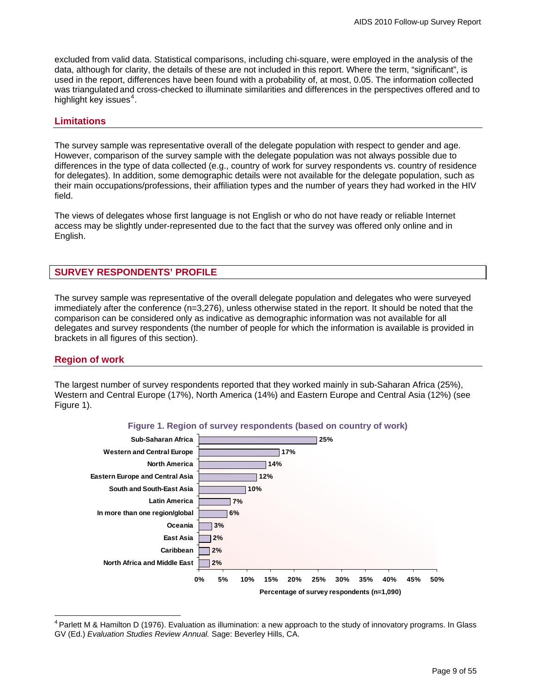<span id="page-8-0"></span>excluded from valid data. Statistical comparisons, including chi-square, were employed in the analysis of the data, although for clarity, the details of these are not included in this report. Where the term, "significant", is used in the report, differences have been found with a probability of, at most, 0.05. The information collected was triangulated and cross-checked to illuminate similarities and differences in the perspectives offered and to highlight key issues $4$ .

#### **Limitations**

The survey sample was representative overall of the delegate population with respect to gender and age. However, comparison of the survey sample with the delegate population was not always possible due to differences in the type of data collected (e.g., country of work for survey respondents vs. country of residence for delegates). In addition, some demographic details were not available for the delegate population, such as their main occupations/professions, their affiliation types and the number of years they had worked in the HIV field.

The views of delegates whose first language is not English or who do not have ready or reliable Internet access may be slightly under-represented due to the fact that the survey was offered only online and in English.

# **SURVEY RESPONDENTS' PROFILE**

The survey sample was representative of the overall delegate population and delegates who were surveyed immediately after the conference (n=3,276), unless otherwise stated in the report. It should be noted that the comparison can be considered only as indicative as demographic information was not available for all delegates and survey respondents (the number of people for which the information is available is provided in brackets in all figures of this section).

# **Region of work**

The largest number of survey respondents reported that they worked mainly in sub-Saharan Africa (25%), Western and Central Europe (17%), North America (14%) and Eastern Europe and Central Asia (12%) (see Figure 1).





<span id="page-8-1"></span> $\overline{a}$ 4 Parlett M & Hamilton D (1976). Evaluation as illumination: a new approach to the study of innovatory programs. In Glass GV (Ed.) *Evaluation Studies Review Annual.* Sage: Beverley Hills, CA.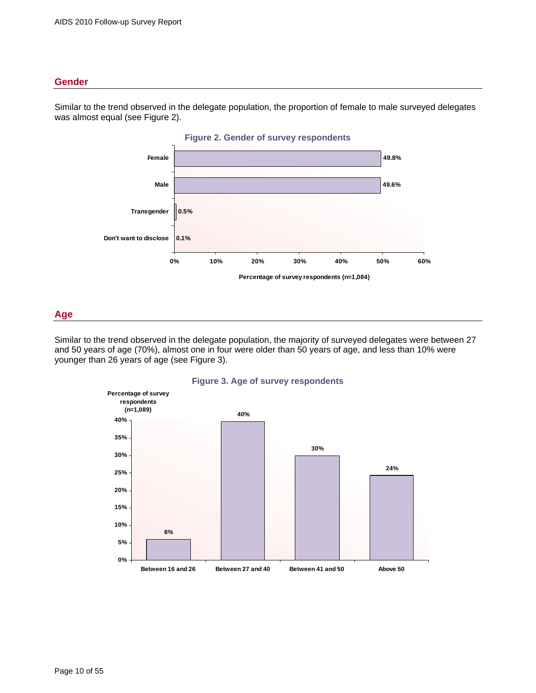# <span id="page-9-0"></span>**Gender**

**Figure 2. Gender of survey respondents 0.1% 0.5% 49.6% 49.8% 0% 10% 20% 30% 40% 50% 60% Don't want to disclose Transgender Male Female Percentage of survey respondents (n=1,084)**

Similar to the trend observed in the delegate population, the proportion of female to male surveyed delegates was almost equal (see Figure 2).

#### **Age**

Similar to the trend observed in the delegate population, the majority of surveyed delegates were between 27 and 50 years of age (70%), almost one in four were older than 50 years of age, and less than 10% were younger than 26 years of age (see Figure 3).



#### **Figure 3. Age of survey respondents**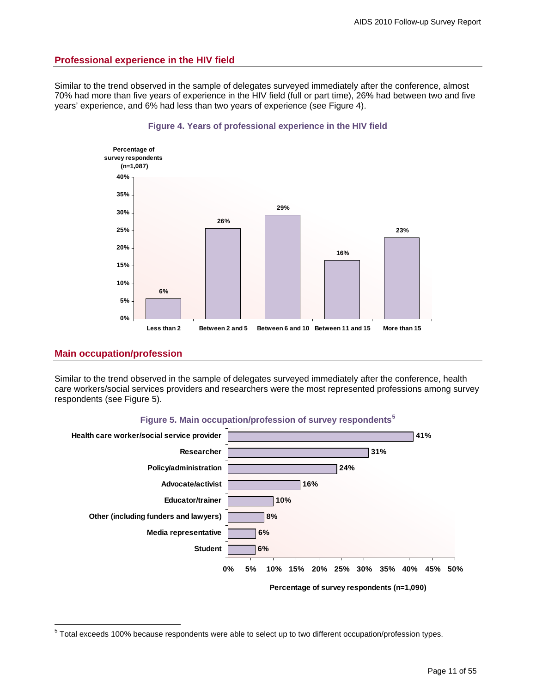# <span id="page-10-0"></span>**Professional experience in the HIV field**

Similar to the trend observed in the sample of delegates surveyed immediately after the conference, almost 70% had more than five years of experience in the HIV field (full or part time), 26% had between two and five years' experience, and 6% had less than two years of experience (see Figure 4).





#### **Main occupation/profession**

Similar to the trend observed in the sample of delegates surveyed immediately after the conference, health care workers/social services providers and researchers were the most represented professions among survey respondents (see Figure 5).



**Figure 5. Main occupation/profession of survey respondents[5](#page-10-1)**

<span id="page-10-1"></span> 5 Total exceeds 100% because respondents were able to select up to two different occupation/profession types.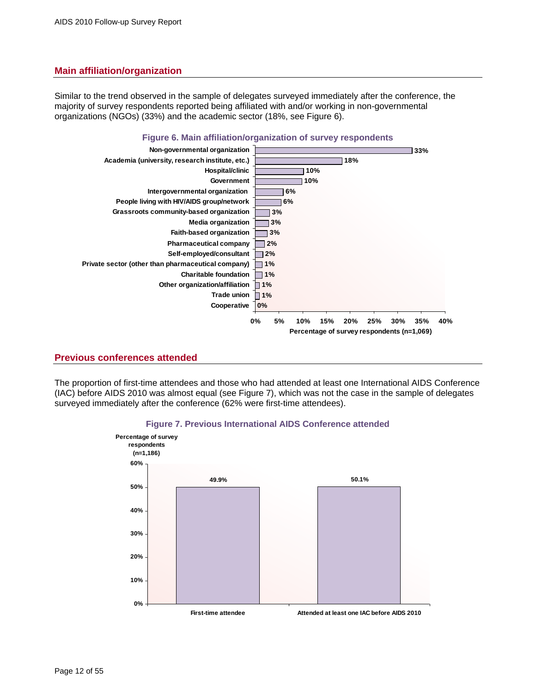# <span id="page-11-0"></span>**Main affiliation/organization**

Similar to the trend observed in the sample of delegates surveyed immediately after the conference, the majority of survey respondents reported being affiliated with and/or working in non-governmental organizations (NGOs) (33%) and the academic sector (18%, see Figure 6).



# **Previous conferences attended**

The proportion of first-time attendees and those who had attended at least one International AIDS Conference (IAC) before AIDS 2010 was almost equal (see Figure 7), which was not the case in the sample of delegates surveyed immediately after the conference (62% were first-time attendees).



#### **Figure 7. Previous International AIDS Conference attended**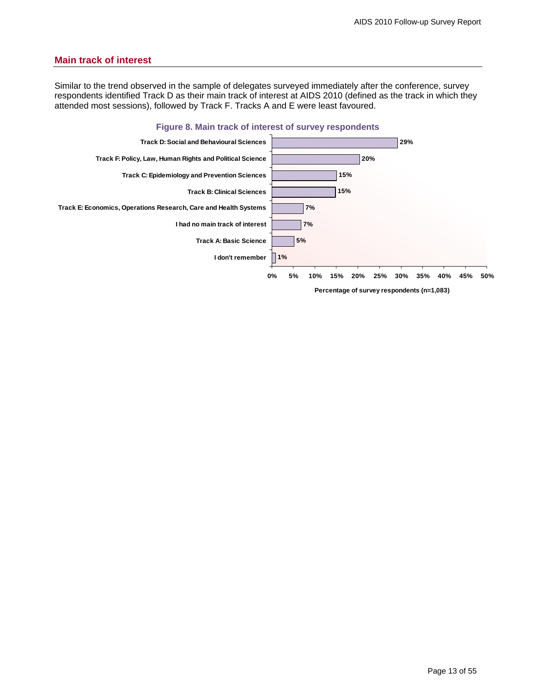# <span id="page-12-0"></span>**Main track of interest**

Similar to the trend observed in the sample of delegates surveyed immediately after the conference, survey respondents identified Track D as their main track of interest at AIDS 2010 (defined as the track in which they attended most sessions), followed by Track F. Tracks A and E were least favoured.

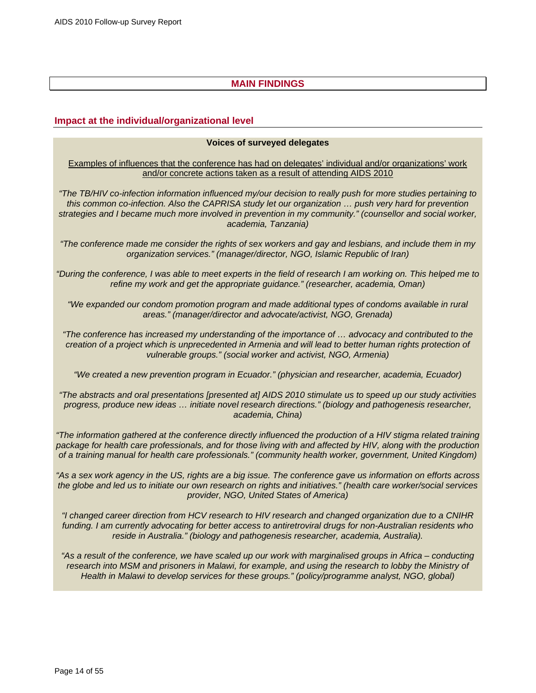# **MAIN FINDINGS**

# <span id="page-13-0"></span>**Impact at the individual/organizational level**

#### **Voices of surveyed delegates**

Examples of influences that the conference has had on delegates' individual and/or organizations' work and/or concrete actions taken as a result of attending AIDS 2010

*"The TB/HIV co-infection information influenced my/our decision to really push for more studies pertaining to this common co-infection. Also the CAPRISA study let our organization … push very hard for prevention strategies and I became much more involved in prevention in my community." (counsellor and social worker, academia, Tanzania)* 

*"The conference made me consider the rights of sex workers and gay and lesbians, and include them in my organization services." (manager/director, NGO, Islamic Republic of Iran)* 

*"During the conference, I was able to meet experts in the field of research I am working on. This helped me to refine my work and get the appropriate guidance." (researcher, academia, Oman)* 

*"We expanded our condom promotion program and made additional types of condoms available in rural areas." (manager/director and advocate/activist, NGO, Grenada)* 

*"The conference has increased my understanding of the importance of … advocacy and contributed to the creation of a project which is unprecedented in Armenia and will lead to better human rights protection of vulnerable groups." (social worker and activist, NGO, Armenia)* 

*"We created a new prevention program in Ecuador." (physician and researcher, academia, Ecuador)* 

*"The abstracts and oral presentations [presented at] AIDS 2010 stimulate us to speed up our study activities progress, produce new ideas … initiate novel research directions." (biology and pathogenesis researcher, academia, China)* 

*"The information gathered at the conference directly influenced the production of a HIV stigma related training package for health care professionals, and for those living with and affected by HIV, along with the production of a training manual for health care professionals." (community health worker, government, United Kingdom)* 

*"As a sex work agency in the US, rights are a big issue. The conference gave us information on efforts across the globe and led us to initiate our own research on rights and initiatives." (health care worker/social services provider, NGO, United States of America)* 

*"I changed career direction from HCV research to HIV research and changed organization due to a CNIHR funding. I am currently advocating for better access to antiretroviral drugs for non-Australian residents who reside in Australia." (biology and pathogenesis researcher, academia, Australia).* 

*"As a result of the conference, we have scaled up our work with marginalised groups in Africa – conducting research into MSM and prisoners in Malawi, for example, and using the research to lobby the Ministry of Health in Malawi to develop services for these groups." (policy/programme analyst, NGO, global)*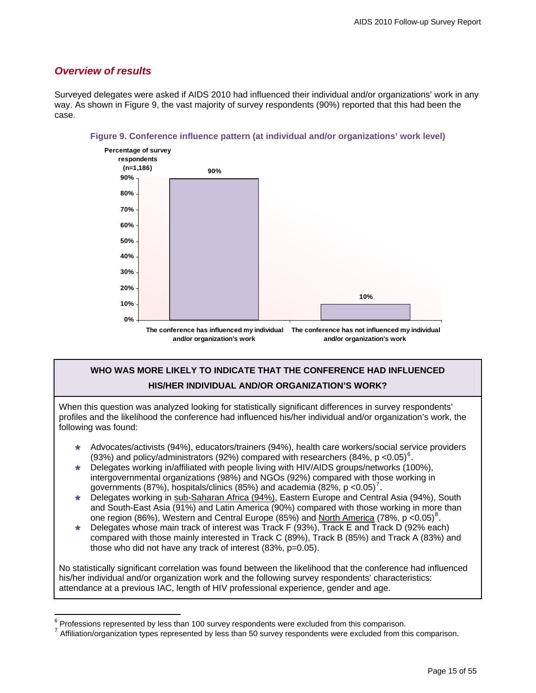# <span id="page-14-0"></span>*Overview of results*

 $\overline{a}$ 

Surveyed delegates were asked if AIDS 2010 had influenced their individual and/or organizations' work in any way. As shown in Figure 9, the vast majority of survey respondents (90%) reported that this had been the case.



#### **Figure 9. Conference influence pattern (at individual and/or organizations' work level)**

# **WHO WAS MORE LIKELY TO INDICATE THAT THE CONFERENCE HAD INFLUENCED HIS/HER INDIVIDUAL AND/OR ORGANIZATION'S WORK?**

When this question was analyzed looking for statistically significant differences in survey respondents' profiles and the likelihood the conference had influenced his/her individual and/or organization's work, the following was found:

- » Advocates/activists (94%), educators/trainers (94%), health care workers/social service providers (93%) and policy/administrators (92%) compared with researchers (84%,  $p < 0.05$ )<sup>[6](#page-14-1)</sup>.
- » Delegates working in/affiliated with people living with HIV/AIDS groups/networks (100%), intergovernmental organizations (98%) and NGOs (92%) compared with those working in governments (8[7](#page-14-2)%), hospitals/clinics (85%) and academia (82%, p < 0.05)<sup>7</sup>.
- » Delegates working in sub-Saharan Africa (94%), Eastern Europe and Central Asia (94%), South and South-East Asia (91%) and Latin America (90%) compared with those working in more than one region ([8](#page-14-3)6%), Western and Central Europe (85%) and North America (78%, p < 0.05)<sup>8</sup>.
- » Delegates whose main track of interest was Track F (93%), Track E and Track D (92% each) compared with those mainly interested in Track C (89%), Track B (85%) and Track A (83%) and those who did not have any track of interest (83%, p=0.05).

No statistically significant correlation was found between the likelihood that the conference had influenced his/her individual and/or organization work and the following survey respondents' characteristics: attendance at a previous IAC, length of HIV professional experience, gender and age.

<span id="page-14-3"></span><span id="page-14-2"></span><span id="page-14-1"></span> $6$  Professions represented by less than 100 survey respondents were excluded from this comparison.

Affiliation/organization types represented by less than 50 survey respondents were excluded from this comparison.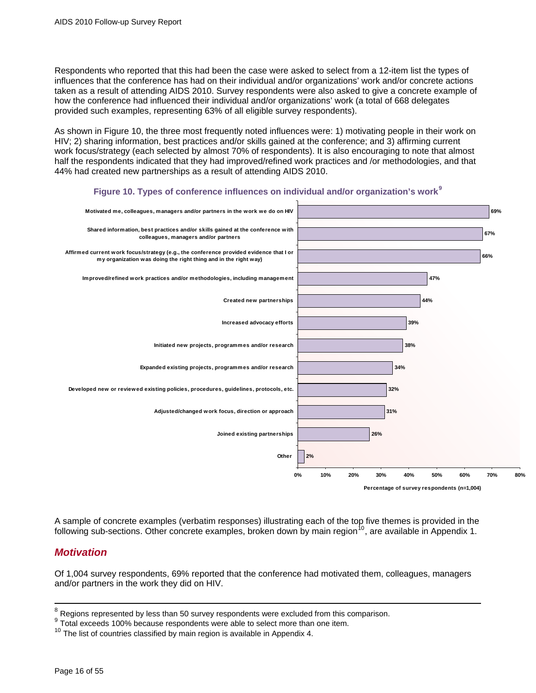<span id="page-15-0"></span>Respondents who reported that this had been the case were asked to select from a 12-item list the types of influences that the conference has had on their individual and/or organizations' work and/or concrete actions taken as a result of attending AIDS 2010. Survey respondents were also asked to give a concrete example of how the conference had influenced their individual and/or organizations' work (a total of 668 delegates provided such examples, representing 63% of all eligible survey respondents).

As shown in Figure 10, the three most frequently noted influences were: 1) motivating people in their work on HIV; 2) sharing information, best practices and/or skills gained at the conference; and 3) affirming current work focus/strategy (each selected by almost 70% of respondents). It is also encouraging to note that almost half the respondents indicated that they had improved/refined work practices and /or methodologies, and that 44% had created new partnerships as a result of attending AIDS 2010.



#### **Figure 10. Types of conference influences on individual and/or organization's work[9](#page-15-1)**

A sample of concrete examples (verbatim responses) illustrating each of the top five themes is provided in the following sub-sections. Other concrete examples, broken down by main region<sup>[10](#page-15-2)</sup>, are available in Appendix 1.

# *Motivation*

Of 1,004 survey respondents, 69% reported that the conference had motivated them, colleagues, managers and/or partners in the work they did on HIV.

<sup>&</sup>lt;sup>8</sup> Regions represented by less than 50 survey respondents were excluded from this comparison.

<span id="page-15-1"></span><sup>9</sup> Total exceeds 100% because respondents were able to select more than one item.

<span id="page-15-2"></span><sup>10</sup> The list of countries classified by main region is available in Appendix 4.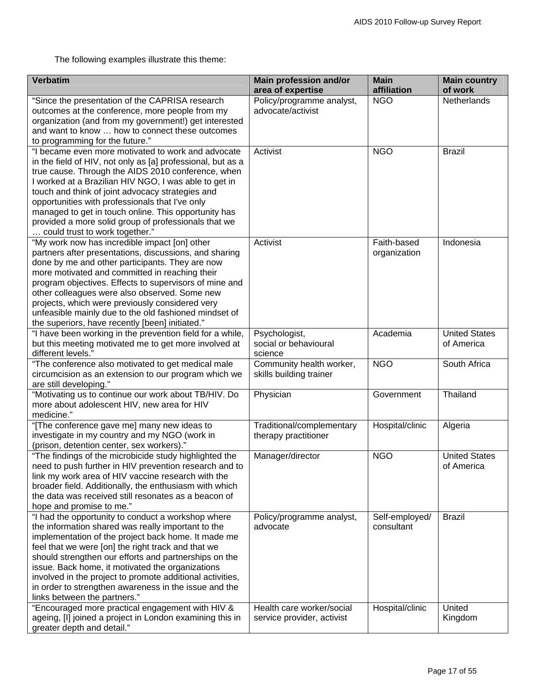The following examples illustrate this theme:

| <b>Verbatim</b>                                                                                                                                                                                                                                                                                                                                                                                                                                                                           | <b>Main profession and/or</b><br>area of expertise      | <b>Main</b><br>affiliation   | <b>Main country</b><br>of work     |
|-------------------------------------------------------------------------------------------------------------------------------------------------------------------------------------------------------------------------------------------------------------------------------------------------------------------------------------------------------------------------------------------------------------------------------------------------------------------------------------------|---------------------------------------------------------|------------------------------|------------------------------------|
| "Since the presentation of the CAPRISA research<br>outcomes at the conference, more people from my<br>organization (and from my government!) get interested<br>and want to know  how to connect these outcomes<br>to programming for the future."                                                                                                                                                                                                                                         | Policy/programme analyst,<br>advocate/activist          | <b>NGO</b>                   | Netherlands                        |
| "I became even more motivated to work and advocate<br>in the field of HIV, not only as [a] professional, but as a<br>true cause. Through the AIDS 2010 conference, when<br>I worked at a Brazilian HIV NGO, I was able to get in<br>touch and think of joint advocacy strategies and<br>opportunities with professionals that I've only<br>managed to get in touch online. This opportunity has<br>provided a more solid group of professionals that we<br>could trust to work together." | Activist                                                | <b>NGO</b>                   | <b>Brazil</b>                      |
| "My work now has incredible impact [on] other<br>partners after presentations, discussions, and sharing<br>done by me and other participants. They are now<br>more motivated and committed in reaching their<br>program objectives. Effects to supervisors of mine and<br>other colleagues were also observed. Some new<br>projects, which were previously considered very<br>unfeasible mainly due to the old fashioned mindset of<br>the superiors, have recently [been] initiated."    | Activist                                                | Faith-based<br>organization  | Indonesia                          |
| "I have been working in the prevention field for a while,<br>but this meeting motivated me to get more involved at<br>different levels."                                                                                                                                                                                                                                                                                                                                                  | Psychologist,<br>social or behavioural<br>science       | Academia                     | <b>United States</b><br>of America |
| "The conference also motivated to get medical male<br>circumcision as an extension to our program which we<br>are still developing."                                                                                                                                                                                                                                                                                                                                                      | Community health worker,<br>skills building trainer     | <b>NGO</b>                   | South Africa                       |
| "Motivating us to continue our work about TB/HIV. Do<br>more about adolescent HIV, new area for HIV<br>medicine."                                                                                                                                                                                                                                                                                                                                                                         | Physician                                               | Government                   | Thailand                           |
| "[The conference gave me] many new ideas to<br>investigate in my country and my NGO (work in<br>(prison, detention center, sex workers)."                                                                                                                                                                                                                                                                                                                                                 | Traditional/complementary<br>therapy practitioner       | Hospital/clinic              | Algeria                            |
| "The findings of the microbicide study highlighted the<br>need to push further in HIV prevention research and to<br>link my work area of HIV vaccine research with the<br>broader field. Additionally, the enthusiasm with which<br>the data was received still resonates as a beacon of<br>hope and promise to me."                                                                                                                                                                      | Manager/director                                        | <b>NGO</b>                   | <b>United States</b><br>of America |
| "I had the opportunity to conduct a workshop where<br>the information shared was really important to the<br>implementation of the project back home. It made me<br>feel that we were [on] the right track and that we<br>should strengthen our efforts and partnerships on the<br>issue. Back home, it motivated the organizations<br>involved in the project to promote additional activities,<br>in order to strengthen awareness in the issue and the<br>links between the partners."  | Policy/programme analyst,<br>advocate                   | Self-employed/<br>consultant | <b>Brazil</b>                      |
| "Encouraged more practical engagement with HIV &<br>ageing, [I] joined a project in London examining this in<br>greater depth and detail."                                                                                                                                                                                                                                                                                                                                                | Health care worker/social<br>service provider, activist | Hospital/clinic              | United<br>Kingdom                  |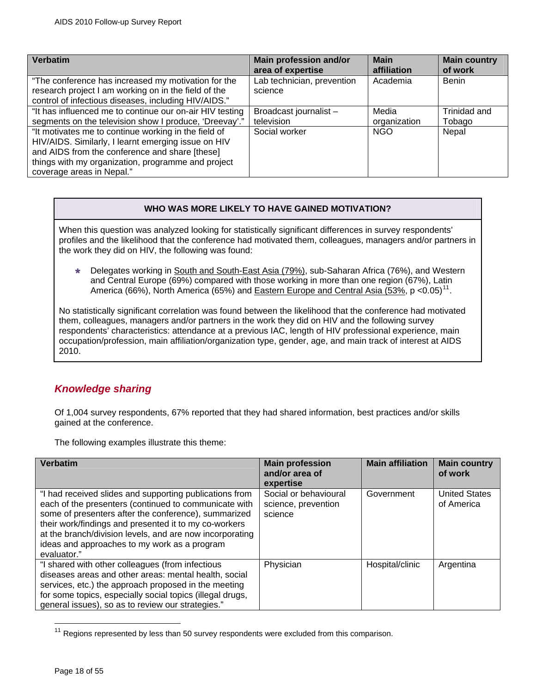<span id="page-17-0"></span>

| Verbatim                                                                                                                                                                                                                                         | Main profession and/or                | <b>Main</b>  | <b>Main country</b> |
|--------------------------------------------------------------------------------------------------------------------------------------------------------------------------------------------------------------------------------------------------|---------------------------------------|--------------|---------------------|
|                                                                                                                                                                                                                                                  | area of expertise                     | affiliation  | of work             |
| "The conference has increased my motivation for the<br>research project I am working on in the field of the<br>control of infectious diseases, including HIV/AIDS."                                                                              | Lab technician, prevention<br>science | Academia     | <b>Benin</b>        |
| "It has influenced me to continue our on-air HIV testing                                                                                                                                                                                         | Broadcast journalist-                 | Media        | Trinidad and        |
| segments on the television show I produce, 'Dreevay'."                                                                                                                                                                                           | television                            | organization | Tobago              |
| "It motivates me to continue working in the field of<br>HIV/AIDS. Similarly, I learnt emerging issue on HIV<br>and AIDS from the conference and share [these]<br>things with my organization, programme and project<br>coverage areas in Nepal." | Social worker                         | <b>NGO</b>   | Nepal               |

### **WHO WAS MORE LIKELY TO HAVE GAINED MOTIVATION?**

When this question was analyzed looking for statistically significant differences in survey respondents' profiles and the likelihood that the conference had motivated them, colleagues, managers and/or partners in the work they did on HIV, the following was found:

» Delegates working in South and South-East Asia (79%), sub-Saharan Africa (76%), and Western and Central Europe (69%) compared with those working in more than one region (67%), Latin America (66%), North America (65%) and Eastern Europe and Central Asia (53%, p < 0.05)<sup>[11](#page-17-1)</sup>.

No statistically significant correlation was found between the likelihood that the conference had motivated them, colleagues, managers and/or partners in the work they did on HIV and the following survey respondents' characteristics: attendance at a previous IAC, length of HIV professional experience, main occupation/profession, main affiliation/organization type, gender, age, and main track of interest at AIDS 2010.

# *Knowledge sharing*

Of 1,004 survey respondents, 67% reported that they had shared information, best practices and/or skills gained at the conference.

The following examples illustrate this theme:

| Verbatim                                                                                                                                                                                                                                                                                                                                                     | <b>Main profession</b><br>and/or area of<br>expertise   | <b>Main affiliation</b> | <b>Main country</b><br>of work     |
|--------------------------------------------------------------------------------------------------------------------------------------------------------------------------------------------------------------------------------------------------------------------------------------------------------------------------------------------------------------|---------------------------------------------------------|-------------------------|------------------------------------|
| "I had received slides and supporting publications from<br>each of the presenters (continued to communicate with<br>some of presenters after the conference), summarized<br>their work/findings and presented it to my co-workers<br>at the branch/division levels, and are now incorporating<br>ideas and approaches to my work as a program<br>evaluator." | Social or behavioural<br>science, prevention<br>science | Government              | <b>United States</b><br>of America |
| "I shared with other colleagues (from infectious<br>diseases areas and other areas: mental health, social<br>services, etc.) the approach proposed in the meeting<br>for some topics, especially social topics (illegal drugs,<br>general issues), so as to review our strategies."                                                                          | Physician                                               | Hospital/clinic         | Argentina                          |

<span id="page-17-1"></span> $11$  Regions represented by less than 50 survey respondents were excluded from this comparison.

 $\overline{a}$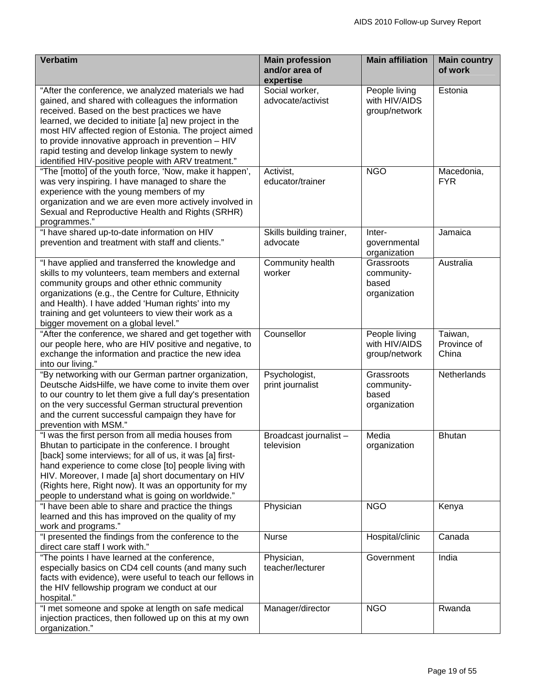| <b>Verbatim</b>                                                                                            | <b>Main profession</b>      | <b>Main affiliation</b> | <b>Main country</b>      |
|------------------------------------------------------------------------------------------------------------|-----------------------------|-------------------------|--------------------------|
|                                                                                                            | and/or area of<br>expertise |                         | of work                  |
| "After the conference, we analyzed materials we had                                                        | Social worker,              | People living           | Estonia                  |
| gained, and shared with colleagues the information                                                         | advocate/activist           | with HIV/AIDS           |                          |
| received. Based on the best practices we have                                                              |                             | group/network           |                          |
| learned, we decided to initiate [a] new project in the                                                     |                             |                         |                          |
| most HIV affected region of Estonia. The project aimed                                                     |                             |                         |                          |
| to provide innovative approach in prevention - HIV                                                         |                             |                         |                          |
| rapid testing and develop linkage system to newly                                                          |                             |                         |                          |
| identified HIV-positive people with ARV treatment."                                                        | Activist,                   | <b>NGO</b>              |                          |
| "The [motto] of the youth force, 'Now, make it happen',<br>was very inspiring. I have managed to share the | educator/trainer            |                         | Macedonia,<br><b>FYR</b> |
| experience with the young members of my                                                                    |                             |                         |                          |
| organization and we are even more actively involved in                                                     |                             |                         |                          |
| Sexual and Reproductive Health and Rights (SRHR)                                                           |                             |                         |                          |
| programmes."                                                                                               |                             |                         |                          |
| "I have shared up-to-date information on HIV                                                               | Skills building trainer,    | Inter-                  | Jamaica                  |
| prevention and treatment with staff and clients."                                                          | advocate                    | governmental            |                          |
|                                                                                                            |                             | organization            |                          |
| "I have applied and transferred the knowledge and                                                          | Community health            | Grassroots              | Australia                |
| skills to my volunteers, team members and external                                                         | worker                      | community-              |                          |
| community groups and other ethnic community                                                                |                             | based                   |                          |
| organizations (e.g., the Centre for Culture, Ethnicity<br>and Health). I have added 'Human rights' into my |                             | organization            |                          |
| training and get volunteers to view their work as a                                                        |                             |                         |                          |
| bigger movement on a global level."                                                                        |                             |                         |                          |
| "After the conference, we shared and get together with                                                     | Counsellor                  | People living           | Taiwan,                  |
| our people here, who are HIV positive and negative, to                                                     |                             | with HIV/AIDS           | Province of              |
| exchange the information and practice the new idea                                                         |                             | group/network           | China                    |
| into our living."                                                                                          |                             |                         |                          |
| "By networking with our German partner organization,                                                       | Psychologist,               | Grassroots              | Netherlands              |
| Deutsche AidsHilfe, we have come to invite them over                                                       | print journalist            | community-              |                          |
| to our country to let them give a full day's presentation                                                  |                             | based                   |                          |
| on the very successful German structural prevention                                                        |                             | organization            |                          |
| and the current successful campaign they have for<br>prevention with MSM."                                 |                             |                         |                          |
| "I was the first person from all media houses from                                                         | Broadcast journalist-       | Media                   | <b>Bhutan</b>            |
| Bhutan to participate in the conference. I brought                                                         | television                  | organization            |                          |
| [back] some interviews; for all of us, it was [a] first-                                                   |                             |                         |                          |
| hand experience to come close [to] people living with                                                      |                             |                         |                          |
| HIV. Moreover, I made [a] short documentary on HIV                                                         |                             |                         |                          |
| (Rights here, Right now). It was an opportunity for my                                                     |                             |                         |                          |
| people to understand what is going on worldwide."                                                          |                             |                         |                          |
| "I have been able to share and practice the things<br>learned and this has improved on the quality of my   | Physician                   | <b>NGO</b>              | Kenya                    |
| work and programs."                                                                                        |                             |                         |                          |
| "I presented the findings from the conference to the                                                       | <b>Nurse</b>                | Hospital/clinic         | Canada                   |
| direct care staff I work with."                                                                            |                             |                         |                          |
| "The points I have learned at the conference,                                                              | Physician,                  | Government              | India                    |
| especially basics on CD4 cell counts (and many such                                                        | teacher/lecturer            |                         |                          |
| facts with evidence), were useful to teach our fellows in                                                  |                             |                         |                          |
| the HIV fellowship program we conduct at our                                                               |                             |                         |                          |
| hospital."<br>"I met someone and spoke at length on safe medical                                           |                             | <b>NGO</b>              |                          |
| injection practices, then followed up on this at my own                                                    | Manager/director            |                         | Rwanda                   |
| organization."                                                                                             |                             |                         |                          |
|                                                                                                            |                             |                         |                          |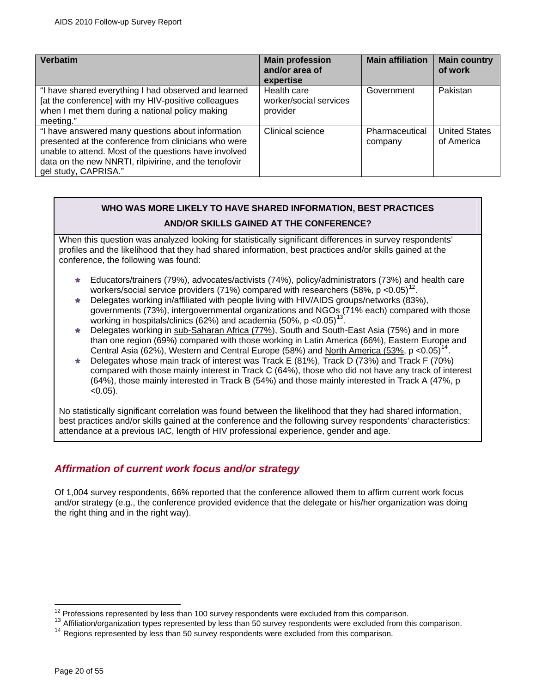<span id="page-19-0"></span>

| <b>Verbatim</b>                                                                                                                                                                                                                                     | <b>Main profession</b><br>and/or area of<br>expertise | <b>Main affiliation</b>   | <b>Main country</b><br>of work     |
|-----------------------------------------------------------------------------------------------------------------------------------------------------------------------------------------------------------------------------------------------------|-------------------------------------------------------|---------------------------|------------------------------------|
| "I have shared everything I had observed and learned<br>[at the conference] with my HIV-positive colleagues<br>when I met them during a national policy making<br>meeting."                                                                         | Health care<br>worker/social services<br>provider     | Government                | Pakistan                           |
| "I have answered many questions about information<br>presented at the conference from clinicians who were<br>unable to attend. Most of the questions have involved<br>data on the new NNRTI, rilpivirine, and the tenofovir<br>gel study, CAPRISA." | Clinical science                                      | Pharmaceutical<br>company | <b>United States</b><br>of America |

# **WHO WAS MORE LIKELY TO HAVE SHARED INFORMATION, BEST PRACTICES**

# **AND/OR SKILLS GAINED AT THE CONFERENCE?**

When this question was analyzed looking for statistically significant differences in survey respondents' profiles and the likelihood that they had shared information, best practices and/or skills gained at the conference, the following was found:

- » Educators/trainers (79%), advocates/activists (74%), policy/administrators (73%) and health care workers/social service providers (71%) compared with researchers (58%, p <0.05)<sup>[12](#page-19-1)</sup>.
- » Delegates working in/affiliated with people living with HIV/AIDS groups/networks (83%), governments (73%), intergovernmental organizations and NGOs (71% each) compared with those working in hospitals/clinics (62%) and academia (50%, p  $\lt 0.05$ )<sup>[13](#page-19-2)</sup>
- » Delegates working in sub-Saharan Africa (77%), South and South-East Asia (75%) and in more than one region (69%) compared with those working in Latin America (66%), Eastern Europe and Central Asia (62%), Western and Central Europe (58%) and North America (53%, p <0.05)<sup>[14](#page-19-3)</sup>.
- » Delegates whose main track of interest was Track E (81%), Track D (73%) and Track F (70%) compared with those mainly interest in Track C (64%), those who did not have any track of interest (64%), those mainly interested in Track B (54%) and those mainly interested in Track A (47%, p  $< 0.05$ ).

No statistically significant correlation was found between the likelihood that they had shared information, best practices and/or skills gained at the conference and the following survey respondents' characteristics: attendance at a previous IAC, length of HIV professional experience, gender and age.

# *Affirmation of current work focus and/or strategy*

Of 1,004 survey respondents, 66% reported that the conference allowed them to affirm current work focus and/or strategy (e.g., the conference provided evidence that the delegate or his/her organization was doing the right thing and in the right way).

 $\overline{a}$ 

<span id="page-19-1"></span><sup>&</sup>lt;sup>12</sup> Professions represented by less than 100 survey respondents were excluded from this comparison.<br><sup>13</sup> Affiliation/organization types represented by less than 50 survey respondents were excluded from this comparison.

<span id="page-19-3"></span><span id="page-19-2"></span><sup>14</sup> Regions represented by less than 50 survey respondents were excluded from this comparison.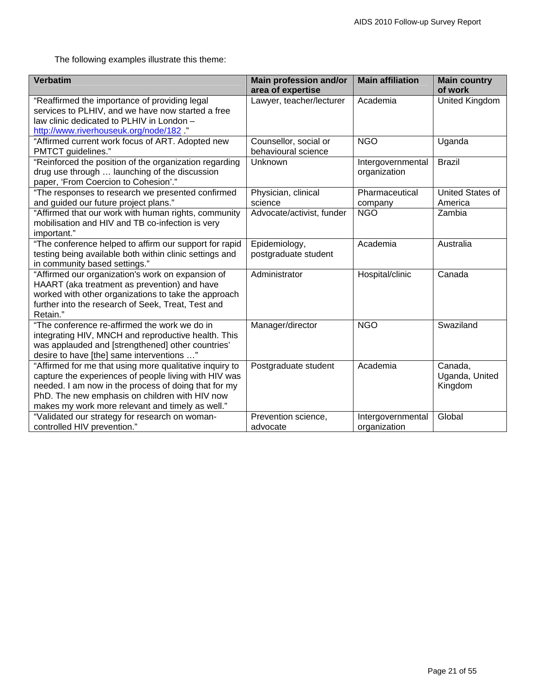The following examples illustrate this theme:

| <b>Verbatim</b>                                                                                                                                                                                                                                                                | <b>Main profession and/or</b><br>area of expertise | <b>Main affiliation</b>           | <b>Main country</b><br>of work       |
|--------------------------------------------------------------------------------------------------------------------------------------------------------------------------------------------------------------------------------------------------------------------------------|----------------------------------------------------|-----------------------------------|--------------------------------------|
| "Reaffirmed the importance of providing legal<br>services to PLHIV, and we have now started a free<br>law clinic dedicated to PLHIV in London -<br>http://www.riverhouseuk.org/node/182 ."                                                                                     | Lawyer, teacher/lecturer                           | Academia                          | United Kingdom                       |
| "Affirmed current work focus of ART. Adopted new<br>PMTCT guidelines."                                                                                                                                                                                                         | Counsellor, social or<br>behavioural science       | <b>NGO</b>                        | Uganda                               |
| "Reinforced the position of the organization regarding<br>drug use through  launching of the discussion<br>paper, 'From Coercion to Cohesion'."                                                                                                                                | Unknown                                            | Intergovernmental<br>organization | <b>Brazil</b>                        |
| "The responses to research we presented confirmed<br>and guided our future project plans."                                                                                                                                                                                     | Physician, clinical<br>science                     | Pharmaceutical<br>company         | United States of<br>America          |
| "Affirmed that our work with human rights, community<br>mobilisation and HIV and TB co-infection is very<br>important."                                                                                                                                                        | Advocate/activist, funder                          | <b>NGO</b>                        | Zambia                               |
| "The conference helped to affirm our support for rapid<br>testing being available both within clinic settings and<br>in community based settings."                                                                                                                             | Epidemiology,<br>postgraduate student              | Academia                          | Australia                            |
| "Affirmed our organization's work on expansion of<br>HAART (aka treatment as prevention) and have<br>worked with other organizations to take the approach<br>further into the research of Seek, Treat, Test and<br>Retain."                                                    | Administrator                                      | Hospital/clinic                   | Canada                               |
| "The conference re-affirmed the work we do in<br>integrating HIV, MNCH and reproductive health. This<br>was applauded and [strengthened] other countries'<br>desire to have [the] same interventions "                                                                         | Manager/director                                   | <b>NGO</b>                        | Swaziland                            |
| "Affirmed for me that using more qualitative inquiry to<br>capture the experiences of people living with HIV was<br>needed. I am now in the process of doing that for my<br>PhD. The new emphasis on children with HIV now<br>makes my work more relevant and timely as well." | Postgraduate student                               | Academia                          | Canada,<br>Uganda, United<br>Kingdom |
| "Validated our strategy for research on woman-<br>controlled HIV prevention."                                                                                                                                                                                                  | Prevention science,<br>advocate                    | Intergovernmental<br>organization | Global                               |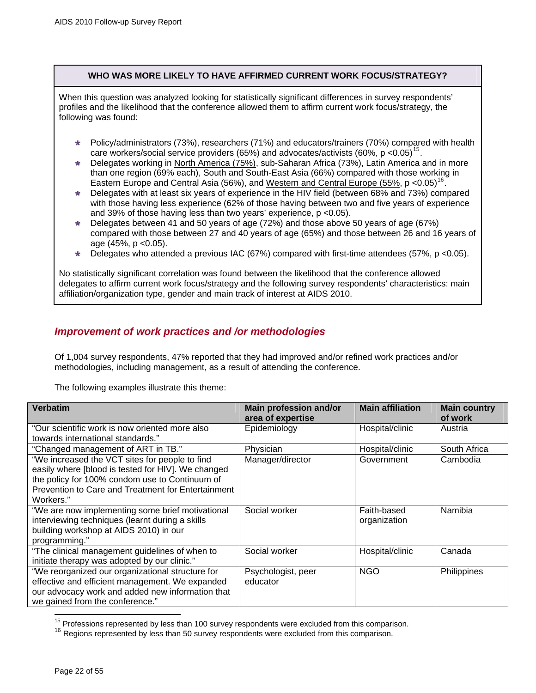# **WHO WAS MORE LIKELY TO HAVE AFFIRMED CURRENT WORK FOCUS/STRATEGY?**

<span id="page-21-0"></span>When this question was analyzed looking for statistically significant differences in survey respondents' profiles and the likelihood that the conference allowed them to affirm current work focus/strategy, the following was found:

- » Policy/administrators (73%), researchers (71%) and educators/trainers (70%) compared with health care workers/social service providers (65%) and advocates/activists (60%, p  $< 0.05$ )<sup>[15](#page-21-1)</sup>.
- Delegates working in North America (75%), sub-Saharan Africa (73%), Latin America and in more than one region (69% each), South and South-East Asia (66%) compared with those working in Eastern Europe and Central Asia (56%), and Western and Central Europe (55%,  $p \leq 0.05$ )<sup>[16](#page-21-2)</sup>.
- » Delegates with at least six years of experience in the HIV field (between 68% and 73%) compared with those having less experience (62% of those having between two and five years of experience and 39% of those having less than two years' experience, p <0.05).
- » Delegates between 41 and 50 years of age (72%) and those above 50 years of age (67%) compared with those between 27 and 40 years of age (65%) and those between 26 and 16 years of age (45%, p <0.05).
- Delegates who attended a previous IAC (67%) compared with first-time attendees (57%, p <0.05).

No statistically significant correlation was found between the likelihood that the conference allowed delegates to affirm current work focus/strategy and the following survey respondents' characteristics: main affiliation/organization type, gender and main track of interest at AIDS 2010.

# *Improvement of work practices and /or methodologies*

Of 1,004 survey respondents, 47% reported that they had improved and/or refined work practices and/or methodologies, including management, as a result of attending the conference.

The following examples illustrate this theme:

| <b>Verbatim</b>                                                                                                                                                                                                           | <b>Main profession and/or</b><br>area of expertise | <b>Main affiliation</b>     | <b>Main country</b><br>of work |
|---------------------------------------------------------------------------------------------------------------------------------------------------------------------------------------------------------------------------|----------------------------------------------------|-----------------------------|--------------------------------|
| "Our scientific work is now oriented more also                                                                                                                                                                            | Epidemiology                                       | Hospital/clinic             | Austria                        |
| towards international standards."                                                                                                                                                                                         |                                                    |                             |                                |
| "Changed management of ART in TB."                                                                                                                                                                                        | Physician                                          | Hospital/clinic             | South Africa                   |
| "We increased the VCT sites for people to find<br>easily where [blood is tested for HIV]. We changed<br>the policy for 100% condom use to Continuum of<br>Prevention to Care and Treatment for Entertainment<br>Workers." | Manager/director                                   | Government                  | Cambodia                       |
| "We are now implementing some brief motivational<br>interviewing techniques (learnt during a skills<br>building workshop at AIDS 2010) in our<br>programming."                                                            | Social worker                                      | Faith-based<br>organization | Namibia                        |
| "The clinical management guidelines of when to<br>initiate therapy was adopted by our clinic."                                                                                                                            | Social worker                                      | Hospital/clinic             | Canada                         |
| "We reorganized our organizational structure for<br>effective and efficient management. We expanded<br>our advocacy work and added new information that<br>we gained from the conference."                                | Psychologist, peer<br>educator                     | <b>NGO</b>                  | Philippines                    |

<span id="page-21-2"></span><span id="page-21-1"></span><sup>&</sup>lt;sup>15</sup> Professions represented by less than 100 survey respondents were excluded from this comparison.<br><sup>16</sup> Regions represented by less than 50 survey respondents were excluded from this comparison.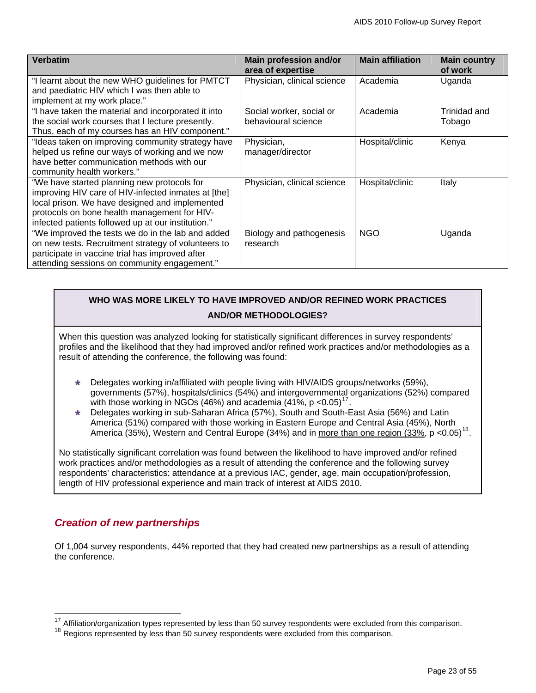<span id="page-22-0"></span>

| <b>Verbatim</b>                                     | Main profession and/or<br>area of expertise | <b>Main affiliation</b> | <b>Main country</b><br>of work |
|-----------------------------------------------------|---------------------------------------------|-------------------------|--------------------------------|
| "I learnt about the new WHO guidelines for PMTCT    | Physician, clinical science                 | Academia                | Uganda                         |
| and paediatric HIV which I was then able to         |                                             |                         |                                |
| implement at my work place."                        |                                             |                         |                                |
| "I have taken the material and incorporated it into | Social worker, social or                    | Academia                | Trinidad and                   |
| the social work courses that I lecture presently.   | behavioural science                         |                         | Tobago                         |
| Thus, each of my courses has an HIV component."     |                                             |                         |                                |
| "Ideas taken on improving community strategy have   | Physician,                                  | Hospital/clinic         | Kenya                          |
| helped us refine our ways of working and we now     | manager/director                            |                         |                                |
| have better communication methods with our          |                                             |                         |                                |
| community health workers."                          |                                             |                         |                                |
| "We have started planning new protocols for         | Physician, clinical science                 | Hospital/clinic         | Italy                          |
| improving HIV care of HIV-infected inmates at [the] |                                             |                         |                                |
| local prison. We have designed and implemented      |                                             |                         |                                |
| protocols on bone health management for HIV-        |                                             |                         |                                |
| infected patients followed up at our institution."  |                                             |                         |                                |
| "We improved the tests we do in the lab and added   | Biology and pathogenesis                    | <b>NGO</b>              | Uganda                         |
| on new tests. Recruitment strategy of volunteers to | research                                    |                         |                                |
| participate in vaccine trial has improved after     |                                             |                         |                                |
| attending sessions on community engagement."        |                                             |                         |                                |

# **WHO WAS MORE LIKELY TO HAVE IMPROVED AND/OR REFINED WORK PRACTICES AND/OR METHODOLOGIES?**

When this question was analyzed looking for statistically significant differences in survey respondents' profiles and the likelihood that they had improved and/or refined work practices and/or methodologies as a result of attending the conference, the following was found:

- » Delegates working in/affiliated with people living with HIV/AIDS groups/networks (59%), governments (57%), hospitals/clinics (54%) and intergovernmental organizations (52%) compared with those working in NGOs (46%) and academia (41%,  $p \le 0.05$ )<sup>[17](#page-22-1)</sup>.
- » Delegates working in sub-Saharan Africa (57%), South and South-East Asia (56%) and Latin America (51%) compared with those working in Eastern Europe and Central Asia (45%), North America (35%), Western and Central Europe (34%) and in more than one region (33%, p <0.05)<sup>[18](#page-22-2)</sup>.

No statistically significant correlation was found between the likelihood to have improved and/or refined work practices and/or methodologies as a result of attending the conference and the following survey respondents' characteristics: attendance at a previous IAC, gender, age, main occupation/profession, length of HIV professional experience and main track of interest at AIDS 2010.

# *Creation of new partnerships*

 $\overline{a}$ 

Of 1,004 survey respondents, 44% reported that they had created new partnerships as a result of attending the conference.

 $17$  Affiliation/organization types represented by less than 50 survey respondents were excluded from this comparison.

<span id="page-22-2"></span><span id="page-22-1"></span><sup>&</sup>lt;sup>18</sup> Regions represented by less than 50 survey respondents were excluded from this comparison.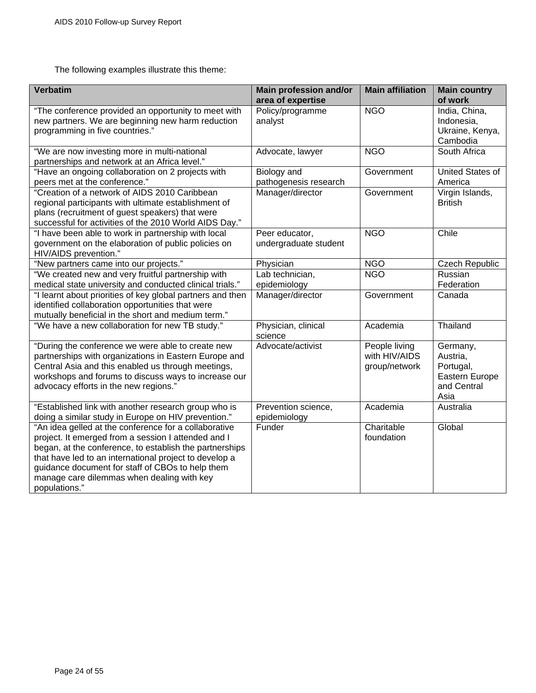The following examples illustrate this theme:

| <b>Verbatim</b>                                                                                                                                                                                                                                                                                                                                      | <b>Main profession and/or</b><br>area of expertise | <b>Main affiliation</b>                         | <b>Main country</b><br>of work                                             |
|------------------------------------------------------------------------------------------------------------------------------------------------------------------------------------------------------------------------------------------------------------------------------------------------------------------------------------------------------|----------------------------------------------------|-------------------------------------------------|----------------------------------------------------------------------------|
| "The conference provided an opportunity to meet with<br>new partners. We are beginning new harm reduction<br>programming in five countries."                                                                                                                                                                                                         | Policy/programme<br>analyst                        | <b>NGO</b>                                      | India, China,<br>Indonesia,<br>Ukraine, Kenya,<br>Cambodia                 |
| "We are now investing more in multi-national<br>partnerships and network at an Africa level."                                                                                                                                                                                                                                                        | Advocate, lawyer                                   | <b>NGO</b>                                      | South Africa                                                               |
| "Have an ongoing collaboration on 2 projects with<br>peers met at the conference."                                                                                                                                                                                                                                                                   | <b>Biology</b> and<br>pathogenesis research        | Government                                      | <b>United States of</b><br>America                                         |
| "Creation of a network of AIDS 2010 Caribbean<br>regional participants with ultimate establishment of<br>plans (recruitment of guest speakers) that were<br>successful for activities of the 2010 World AIDS Day."                                                                                                                                   | Manager/director                                   | Government                                      | Virgin Islands,<br><b>British</b>                                          |
| "I have been able to work in partnership with local<br>government on the elaboration of public policies on<br>HIV/AIDS prevention."                                                                                                                                                                                                                  | Peer educator,<br>undergraduate student            | <b>NGO</b>                                      | Chile                                                                      |
| "New partners came into our projects."                                                                                                                                                                                                                                                                                                               | Physician                                          | <b>NGO</b>                                      | <b>Czech Republic</b>                                                      |
| "We created new and very fruitful partnership with<br>medical state university and conducted clinical trials."                                                                                                                                                                                                                                       | Lab technician,<br>epidemiology                    | <b>NGO</b>                                      | Russian<br>Federation                                                      |
| "I learnt about priorities of key global partners and then<br>identified collaboration opportunities that were<br>mutually beneficial in the short and medium term."                                                                                                                                                                                 | Manager/director                                   | Government                                      | Canada                                                                     |
| "We have a new collaboration for new TB study."                                                                                                                                                                                                                                                                                                      | Physician, clinical<br>science                     | Academia                                        | Thailand                                                                   |
| "During the conference we were able to create new<br>partnerships with organizations in Eastern Europe and<br>Central Asia and this enabled us through meetings,<br>workshops and forums to discuss ways to increase our<br>advocacy efforts in the new regions."                                                                                    | Advocate/activist                                  | People living<br>with HIV/AIDS<br>group/network | Germany,<br>Austria,<br>Portugal,<br>Eastern Europe<br>and Central<br>Asia |
| "Established link with another research group who is<br>doing a similar study in Europe on HIV prevention."                                                                                                                                                                                                                                          | Prevention science,<br>epidemiology                | Academia                                        | Australia                                                                  |
| "An idea gelled at the conference for a collaborative<br>project. It emerged from a session I attended and I<br>began, at the conference, to establish the partnerships<br>that have led to an international project to develop a<br>guidance document for staff of CBOs to help them<br>manage care dilemmas when dealing with key<br>populations." | Funder                                             | Charitable<br>foundation                        | Global                                                                     |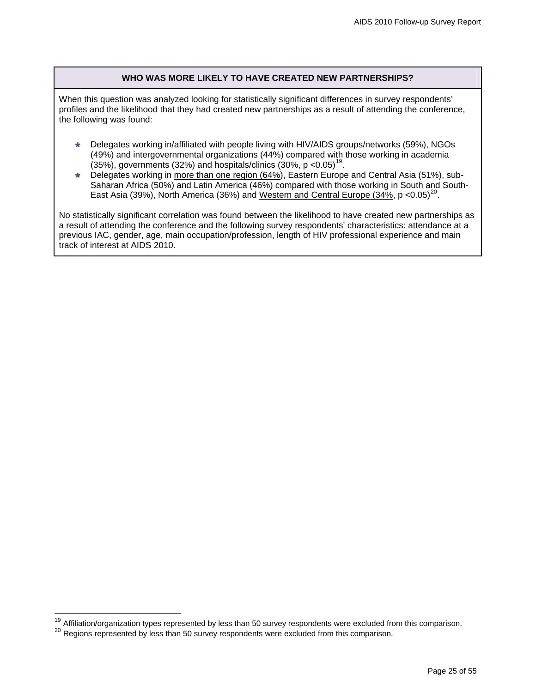### **WHO WAS MORE LIKELY TO HAVE CREATED NEW PARTNERSHIPS?**

When this question was analyzed looking for statistically significant differences in survey respondents' profiles and the likelihood that they had created new partnerships as a result of attending the conference, the following was found:

- » Delegates working in/affiliated with people living with HIV/AIDS groups/networks (59%), NGOs (49%) and intergovernmental organizations (44%) compared with those working in academia (35%), governments (32%) and hospitals/clinics (30%, p <0.05)<sup>[19](#page-24-0)</sup>.
- » Delegates working in more than one region (64%), Eastern Europe and Central Asia (51%), sub-Saharan Africa (50%) and Latin America (46%) compared with those working in South and South-East Asia (39%), North America (36%) and Western and Central Europe (34%,  $p$  <0.05)<sup>[20](#page-24-1)</sup>.

No statistically significant correlation was found between the likelihood to have created new partnerships as a result of attending the conference and the following survey respondents' characteristics: attendance at a previous IAC, gender, age, main occupation/profession, length of HIV professional experience and main track of interest at AIDS 2010.

 $\overline{a}$ 

<sup>&</sup>lt;sup>19</sup> Affiliation/organization types represented by less than 50 survey respondents were excluded from this comparison.

<span id="page-24-1"></span><span id="page-24-0"></span><sup>20</sup> Regions represented by less than 50 survey respondents were excluded from this comparison.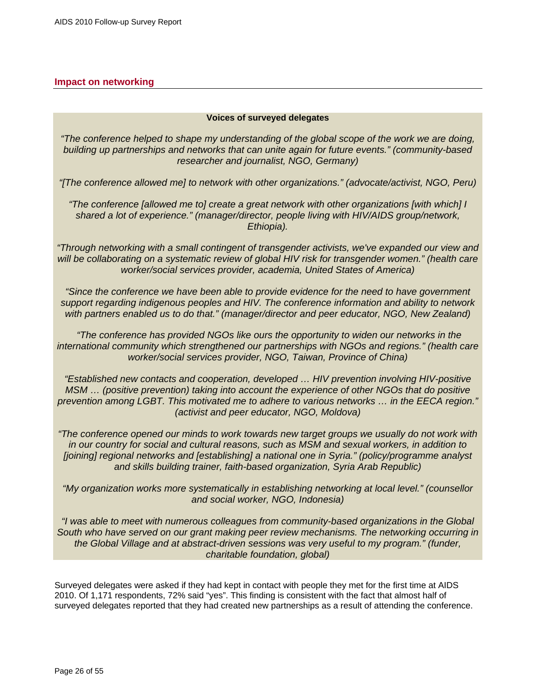# <span id="page-25-0"></span>**Impact on networking**

#### **Voices of surveyed delegates**

*"The conference helped to shape my understanding of the global scope of the work we are doing, building up partnerships and networks that can unite again for future events." (community-based researcher and journalist, NGO, Germany)* 

*"[The conference allowed me] to network with other organizations." (advocate/activist, NGO, Peru)* 

*"The conference [allowed me to] create a great network with other organizations [with which] I shared a lot of experience." (manager/director, people living with HIV/AIDS group/network, Ethiopia).* 

*"Through networking with a small contingent of transgender activists, we've expanded our view and*  will be collaborating on a systematic review of global HIV risk for transgender women." (health care *worker/social services provider, academia, United States of America)* 

*"Since the conference we have been able to provide evidence for the need to have government support regarding indigenous peoples and HIV. The conference information and ability to network with partners enabled us to do that." (manager/director and peer educator, NGO, New Zealand)* 

 *"The conference has provided NGOs like ours the opportunity to widen our networks in the international community which strengthened our partnerships with NGOs and regions." (health care worker/social services provider, NGO, Taiwan, Province of China)* 

*"Established new contacts and cooperation, developed … HIV prevention involving HIV-positive MSM … (positive prevention) taking into account the experience of other NGOs that do positive prevention among LGBT. This motivated me to adhere to various networks … in the EECA region." (activist and peer educator, NGO, Moldova)* 

*"The conference opened our minds to work towards new target groups we usually do not work with in our country for social and cultural reasons, such as MSM and sexual workers, in addition to [joining] regional networks and [establishing] a national one in Syria." (policy/programme analyst and skills building trainer, faith-based organization, Syria Arab Republic)* 

*"My organization works more systematically in establishing networking at local level." (counsellor and social worker, NGO, Indonesia)* 

*"I was able to meet with numerous colleagues from community-based organizations in the Global South who have served on our grant making peer review mechanisms. The networking occurring in the Global Village and at abstract-driven sessions was very useful to my program." (funder, charitable foundation, global)* 

Surveyed delegates were asked if they had kept in contact with people they met for the first time at AIDS 2010. Of 1,171 respondents, 72% said "yes". This finding is consistent with the fact that almost half of surveyed delegates reported that they had created new partnerships as a result of attending the conference.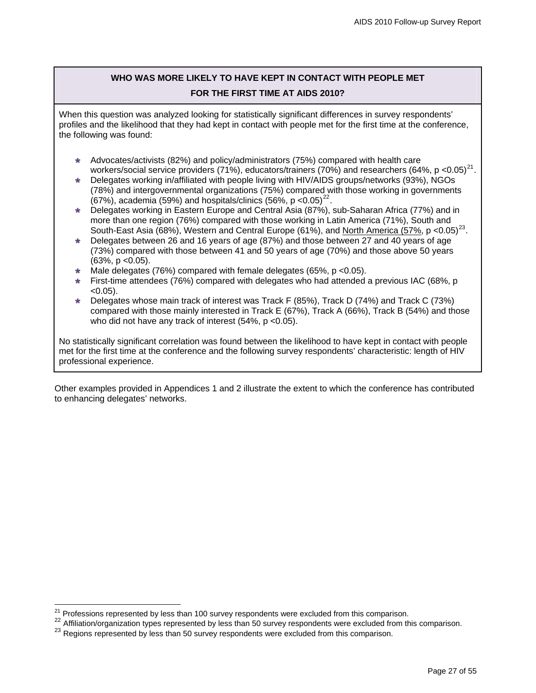# **WHO WAS MORE LIKELY TO HAVE KEPT IN CONTACT WITH PEOPLE MET FOR THE FIRST TIME AT AIDS 2010?**

When this question was analyzed looking for statistically significant differences in survey respondents' profiles and the likelihood that they had kept in contact with people met for the first time at the conference, the following was found:

- » Advocates/activists (82%) and policy/administrators (75%) compared with health care workers/social service providers (71%), educators/trainers (70%) and researchers (64%, p <0.05)<sup>[21](#page-26-0)</sup>.
- » Delegates working in/affiliated with people living with HIV/AIDS groups/networks (93%), NGOs (78%) and intergovernmental organizations (75%) compared with those working in governments (67%), academia (59%) and hospitals/clinics (56%,  $p < 0.05$ )<sup>[22](#page-26-1)</sup>.
- » Delegates working in Eastern Europe and Central Asia (87%), sub-Saharan Africa (77%) and in more than one region (76%) compared with those working in Latin America (71%), South and South-East Asia (68%), Western and Central Europe (61%), and North America (57%, p <0.05)<sup>[23](#page-26-2)</sup>.
- » Delegates between 26 and 16 years of age (87%) and those between 27 and 40 years of age (73%) compared with those between 41 and 50 years of age (70%) and those above 50 years  $(63\%, p < 0.05)$ .
- Male delegates (76%) compared with female delegates (65%, p <0.05).
- » First-time attendees (76%) compared with delegates who had attended a previous IAC (68%, p  $< 0.05$ ).
- » Delegates whose main track of interest was Track F (85%), Track D (74%) and Track C (73%) compared with those mainly interested in Track E (67%), Track A (66%), Track B (54%) and those who did not have any track of interest (54%, p < 0.05).

No statistically significant correlation was found between the likelihood to have kept in contact with people met for the first time at the conference and the following survey respondents' characteristic: length of HIV professional experience.

Other examples provided in Appendices 1 and 2 illustrate the extent to which the conference has contributed to enhancing delegates' networks.

 $\overline{a}$ 

<span id="page-26-0"></span><sup>&</sup>lt;sup>21</sup> Professions represented by less than 100 survey respondents were excluded from this comparison.<br><sup>22</sup> Affiliation/organization types represented by less than 50 survey respondents were excluded from this comparison.

<span id="page-26-2"></span><span id="page-26-1"></span><sup>23</sup> Regions represented by less than 50 survey respondents were excluded from this comparison.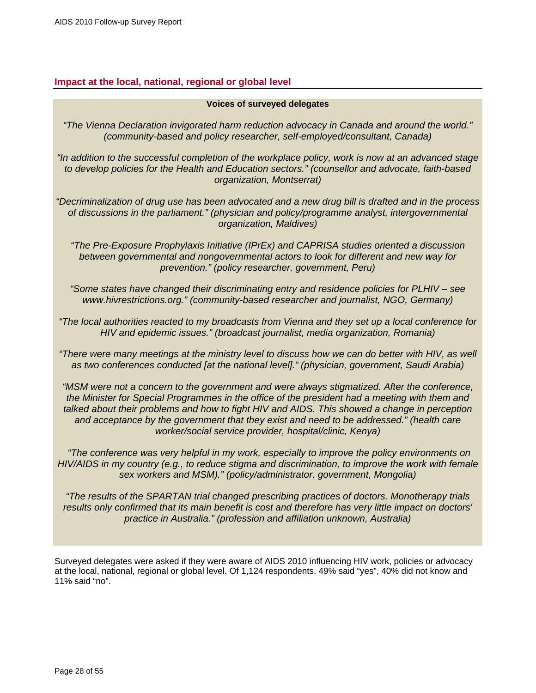# <span id="page-27-0"></span>**Impact at the local, national, regional or global level**

#### **Voices of surveyed delegates**

*"The Vienna Declaration invigorated harm reduction advocacy in Canada and around the world." (community-based and policy researcher, self-employed/consultant, Canada)* 

*"In addition to the successful completion of the workplace policy, work is now at an advanced stage to develop policies for the Health and Education sectors." (counsellor and advocate, faith-based organization, Montserrat)* 

*"Decriminalization of drug use has been advocated and a new drug bill is drafted and in the process of discussions in the parliament." (physician and policy/programme analyst, intergovernmental organization, Maldives)* 

*"The Pre-Exposure Prophylaxis Initiative (IPrEx) and CAPRISA studies oriented a discussion between governmental and nongovernmental actors to look for different and new way for prevention." (policy researcher, government, Peru)* 

*"Some states have changed their discriminating entry and residence policies for PLHIV – see www.hivrestrictions.org." (community-based researcher and journalist, NGO, Germany)* 

*"The local authorities reacted to my broadcasts from Vienna and they set up a local conference for HIV and epidemic issues." (broadcast journalist, media organization, Romania)* 

*"There were many meetings at the ministry level to discuss how we can do better with HIV, as well as two conferences conducted [at the national level]." (physician, government, Saudi Arabia)* 

*"MSM were not a concern to the government and were always stigmatized. After the conference, the Minister for Special Programmes in the office of the president had a meeting with them and talked about their problems and how to fight HIV and AIDS. This showed a change in perception and acceptance by the government that they exist and need to be addressed." (health care worker/social service provider, hospital/clinic, Kenya)* 

 *"The conference was very helpful in my work, especially to improve the policy environments on HIV/AIDS in my country (e.g., to reduce stigma and discrimination, to improve the work with female sex workers and MSM)." (policy/administrator, government, Mongolia)* 

*"The results of the SPARTAN trial changed prescribing practices of doctors. Monotherapy trials results only confirmed that its main benefit is cost and therefore has very little impact on doctors' practice in Australia." (profession and affiliation unknown, Australia)* 

Surveyed delegates were asked if they were aware of AIDS 2010 influencing HIV work, policies or advocacy at the local, national, regional or global level. Of 1,124 respondents, 49% said "yes", 40% did not know and 11% said "no".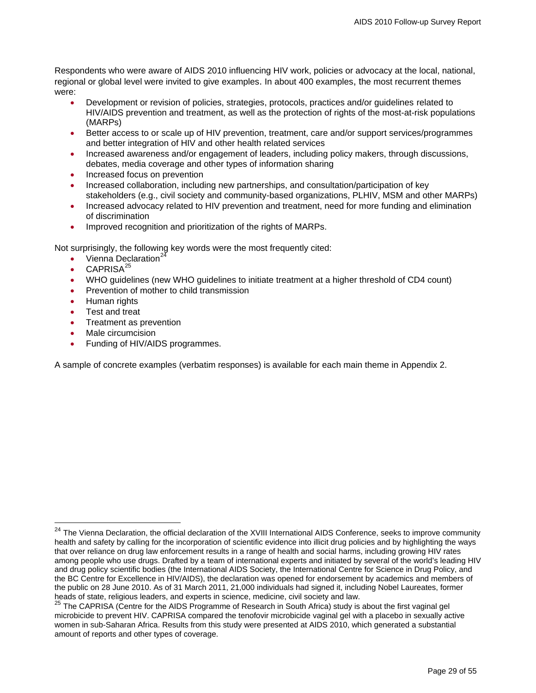Respondents who were aware of AIDS 2010 influencing HIV work, policies or advocacy at the local, national, regional or global level were invited to give examples. In about 400 examples, the most recurrent themes were:

- Development or revision of policies, strategies, protocols, practices and/or guidelines related to HIV/AIDS prevention and treatment, as well as the protection of rights of the most-at-risk populations (MARPs)
- Better access to or scale up of HIV prevention, treatment, care and/or support services/programmes and better integration of HIV and other health related services
- Increased awareness and/or engagement of leaders, including policy makers, through discussions, debates, media coverage and other types of information sharing
- Increased focus on prevention
- Increased collaboration, including new partnerships, and consultation/participation of key stakeholders (e.g., civil society and community-based organizations, PLHIV, MSM and other MARPs)
- Increased advocacy related to HIV prevention and treatment, need for more funding and elimination of discrimination
- Improved recognition and prioritization of the rights of MARPs.

Not surprisingly, the following key words were the most frequently cited:

- Vienna Declaration<sup>22</sup>
- CAPRISA<sup>[25](#page-28-1)</sup>
- WHO guidelines (new WHO guidelines to initiate treatment at a higher threshold of CD4 count)
- Prevention of mother to child transmission
- Human rights

 $\overline{a}$ 

- Test and treat
- Treatment as prevention
- Male circumcision
- Funding of HIV/AIDS programmes.

A sample of concrete examples (verbatim responses) is available for each main theme in Appendix 2.

<span id="page-28-0"></span><sup>24</sup> The Vienna Declaration, the official declaration of the XVIII International AIDS Conference, seeks to improve community health and safety by calling for the incorporation of scientific evidence into illicit drug policies and by highlighting the ways that over reliance on drug law enforcement results in a range of health and social harms, including growing HIV rates among people who use drugs. Drafted by [a team of international experts](http://www.viennadeclaration.com/writing-committee.html) and initiated by several of the world's leading HIV and drug policy scientific bodies ([the International AIDS Society,](http://www.iasociety.org/) the [International Centre for Science in Drug Policy,](http://www.icsdp.org/) and the [BC Centre for Excellence in HIV/AIDS\)](http://www.cfenet.ubc.ca/), the declaration was opened for endorsement by academics and members of the public on 28 June 2010. As of 31 March 2011, 21,000 individuals had signed it, including Nobel Laureates, former<br>heads of state, religious leaders, and experts in science, medicine, civil society and law.

<span id="page-28-1"></span><sup>&</sup>lt;sup>25</sup> The CAPRISA (Centre for the AIDS Programme of Research in South Africa) study is about the first vaginal gel microbicide to prevent HIV. CAPRISA compared the tenofovir microbicide vaginal gel with a placebo in sexually active women in sub-Saharan Africa. Results from this study were presented at AIDS 2010, which generated a substantial amount of reports and other types of coverage.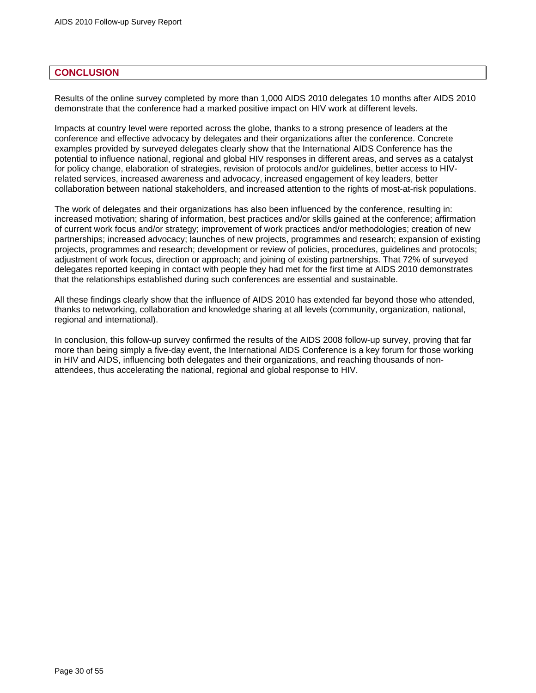### <span id="page-29-0"></span>**CONCLUSION**

Results of the online survey completed by more than 1,000 AIDS 2010 delegates 10 months after AIDS 2010 demonstrate that the conference had a marked positive impact on HIV work at different levels.

Impacts at country level were reported across the globe, thanks to a strong presence of leaders at the conference and effective advocacy by delegates and their organizations after the conference. Concrete examples provided by surveyed delegates clearly show that the International AIDS Conference has the potential to influence national, regional and global HIV responses in different areas, and serves as a catalyst for policy change, elaboration of strategies, revision of protocols and/or guidelines, better access to HIVrelated services, increased awareness and advocacy, increased engagement of key leaders, better collaboration between national stakeholders, and increased attention to the rights of most-at-risk populations.

The work of delegates and their organizations has also been influenced by the conference, resulting in: increased motivation; sharing of information, best practices and/or skills gained at the conference; affirmation of current work focus and/or strategy; improvement of work practices and/or methodologies; creation of new partnerships; increased advocacy; launches of new projects, programmes and research; expansion of existing projects, programmes and research; development or review of policies, procedures, guidelines and protocols; adjustment of work focus, direction or approach; and joining of existing partnerships. That 72% of surveyed delegates reported keeping in contact with people they had met for the first time at AIDS 2010 demonstrates that the relationships established during such conferences are essential and sustainable.

All these findings clearly show that the influence of AIDS 2010 has extended far beyond those who attended, thanks to networking, collaboration and knowledge sharing at all levels (community, organization, national, regional and international).

In conclusion, this follow-up survey confirmed the results of the AIDS 2008 follow-up survey, proving that far more than being simply a five-day event, the International AIDS Conference is a key forum for those working in HIV and AIDS, influencing both delegates and their organizations, and reaching thousands of nonattendees, thus accelerating the national, regional and global response to HIV.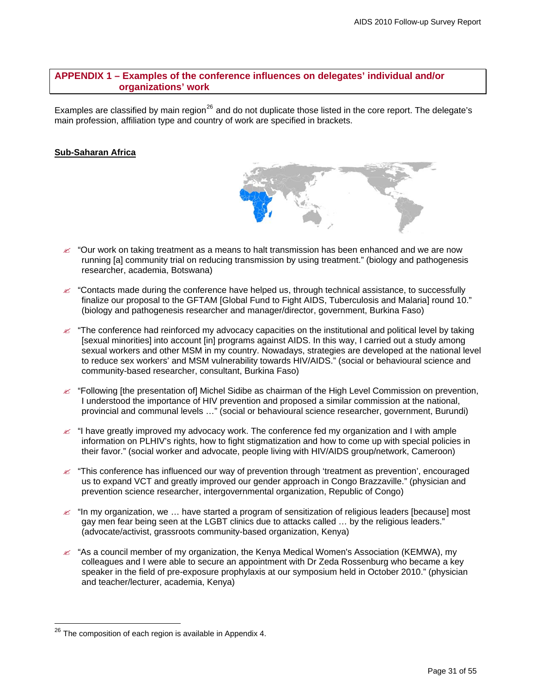# <span id="page-30-0"></span>**APPENDIX 1 – Examples of the conference influences on delegates' individual and/or organizations' work**

Examples are classified by main region<sup>[26](#page-30-1)</sup> and do not duplicate those listed in the core report. The delegate's main profession, affiliation type and country of work are specified in brackets.

# **Sub-Saharan Africa**



- $\epsilon$  "Contacts made during the conference have helped us, through technical assistance, to successfully finalize our proposal to the GFTAM [Global Fund to Fight AIDS, Tuberculosis and Malaria] round 10." (biology and pathogenesis researcher and manager/director, government, Burkina Faso)
- " "The conference had reinforced my advocacy capacities on the institutional and political level by taking [sexual minorities] into account [in] programs against AIDS. In this way, I carried out a study among sexual workers and other MSM in my country. Nowadays, strategies are developed at the national level to reduce sex workers' and MSM vulnerability towards HIV/AIDS." (social or behavioural science and community-based researcher, consultant, Burkina Faso)
- " "Following [the presentation of] Michel Sidibe as chairman of the High Level Commission on prevention, I understood the importance of HIV prevention and proposed a similar commission at the national, provincial and communal levels …" (social or behavioural science researcher, government, Burundi)
- $\approx$  "I have greatly improved my advocacy work. The conference fed my organization and I with ample information on PLHIV's rights, how to fight stigmatization and how to come up with special policies in their favor." (social worker and advocate, people living with HIV/AIDS group/network, Cameroon)
- $\approx$  "This conference has influenced our way of prevention through 'treatment as prevention', encouraged us to expand VCT and greatly improved our gender approach in Congo Brazzaville." (physician and prevention science researcher, intergovernmental organization, Republic of Congo)
- $\approx$  "In my organization, we ... have started a program of sensitization of religious leaders [because] most gay men fear being seen at the LGBT clinics due to attacks called … by the religious leaders." (advocate/activist, grassroots community-based organization, Kenya)
- $\approx$  "As a council member of my organization, the Kenya Medical Women's Association (KEMWA), my colleagues and I were able to secure an appointment with Dr Zeda Rossenburg who became a key speaker in the field of pre-exposure prophylaxis at our symposium held in October 2010." (physician and teacher/lecturer, academia, Kenya)

 $\overline{a}$ 

<span id="page-30-1"></span> $^{26}$  The composition of each region is available in Appendix 4.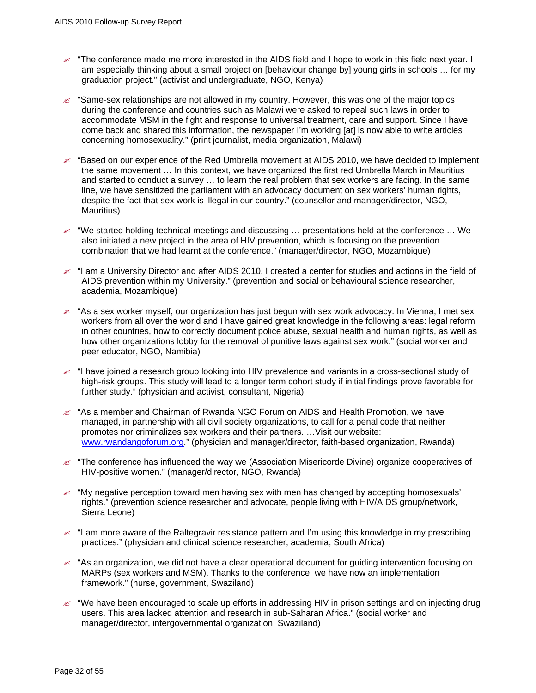- $\epsilon$  "The conference made me more interested in the AIDS field and I hope to work in this field next year. I am especially thinking about a small project on [behaviour change by] young girls in schools … for my graduation project." (activist and undergraduate, NGO, Kenya)
- $\approx$  "Same-sex relationships are not allowed in my country. However, this was one of the major topics during the conference and countries such as Malawi were asked to repeal such laws in order to accommodate MSM in the fight and response to universal treatment, care and support. Since I have come back and shared this information, the newspaper I'm working [at] is now able to write articles concerning homosexuality." (print journalist, media organization, Malawi)
- $\approx$  "Based on our experience of the Red Umbrella movement at AIDS 2010, we have decided to implement the same movement … In this context, we have organized the first red Umbrella March in Mauritius and started to conduct a survey … to learn the real problem that sex workers are facing. In the same line, we have sensitized the parliament with an advocacy document on sex workers' human rights, despite the fact that sex work is illegal in our country." (counsellor and manager/director, NGO, Mauritius)
- $\approx$  "We started holding technical meetings and discussing ... presentations held at the conference ... We also initiated a new project in the area of HIV prevention, which is focusing on the prevention combination that we had learnt at the conference." (manager/director, NGO, Mozambique)
- $\le$  "I am a University Director and after AIDS 2010, I created a center for studies and actions in the field of AIDS prevention within my University." (prevention and social or behavioural science researcher, academia, Mozambique)
- $\approx$  "As a sex worker myself, our organization has just begun with sex work advocacy. In Vienna, I met sex workers from all over the world and I have gained great knowledge in the following areas: legal reform in other countries, how to correctly document police abuse, sexual health and human rights, as well as how other organizations lobby for the removal of punitive laws against sex work." (social worker and peer educator, NGO, Namibia)
- " "I have joined a research group looking into HIV prevalence and variants in a cross-sectional study of high-risk groups. This study will lead to a longer term cohort study if initial findings prove favorable for further study." (physician and activist, consultant, Nigeria)
- $\approx$  "As a member and Chairman of Rwanda NGO Forum on AIDS and Health Promotion, we have managed, in partnership with all civil society organizations, to call for a penal code that neither promotes nor criminalizes sex workers and their partners. …Visit our website: [www.rwandangoforum.org](http://www.rwandangoforum.org/)." (physician and manager/director, faith-based organization, Rwanda)
- $\approx$  "The conference has influenced the way we (Association Misericorde Divine) organize cooperatives of HIV-positive women." (manager/director, NGO, Rwanda)
- $\ll$  "My negative perception toward men having sex with men has changed by accepting homosexuals" rights." (prevention science researcher and advocate, people living with HIV/AIDS group/network, Sierra Leone)
- $\le$  "I am more aware of the Raltegravir resistance pattern and I'm using this knowledge in my prescribing practices." (physician and clinical science researcher, academia, South Africa)
- $\mathscr{L}$  "As an organization, we did not have a clear operational document for guiding intervention focusing on MARPs (sex workers and MSM). Thanks to the conference, we have now an implementation framework." (nurse, government, Swaziland)
- $\approx$  "We have been encouraged to scale up efforts in addressing HIV in prison settings and on injecting drug users. This area lacked attention and research in sub-Saharan Africa." (social worker and manager/director, intergovernmental organization, Swaziland)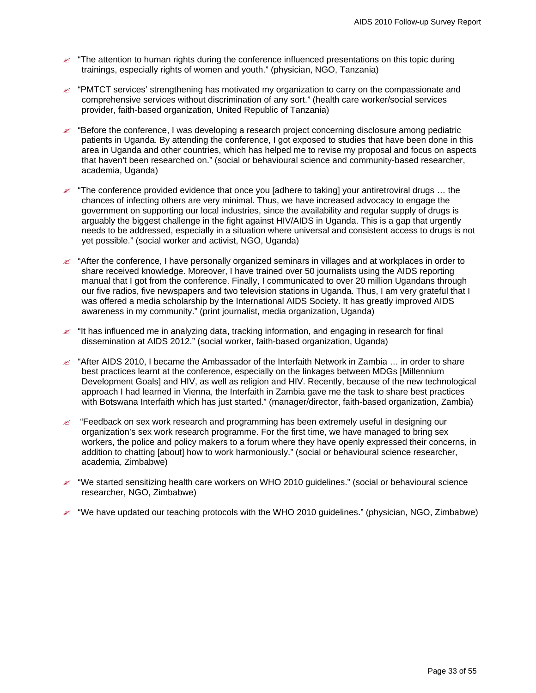- $\approx$  "The attention to human rights during the conference influenced presentations on this topic during trainings, especially rights of women and youth." (physician, NGO, Tanzania)
- $\approx$  "PMTCT services' strengthening has motivated my organization to carry on the compassionate and comprehensive services without discrimination of any sort." (health care worker/social services provider, faith-based organization, United Republic of Tanzania)
- $\approx$  "Before the conference, I was developing a research project concerning disclosure among pediatric patients in Uganda. By attending the conference, I got exposed to studies that have been done in this area in Uganda and other countries, which has helped me to revise my proposal and focus on aspects that haven't been researched on." (social or behavioural science and community-based researcher, academia, Uganda)
- $\approx$  "The conference provided evidence that once you [adhere to taking] your antiretroviral drugs ... the chances of infecting others are very minimal. Thus, we have increased advocacy to engage the government on supporting our local industries, since the availability and regular supply of drugs is arguably the biggest challenge in the fight against HIV/AIDS in Uganda. This is a gap that urgently needs to be addressed, especially in a situation where universal and consistent access to drugs is not yet possible." (social worker and activist, NGO, Uganda)
- $\approx$  "After the conference, I have personally organized seminars in villages and at workplaces in order to share received knowledge. Moreover, I have trained over 50 journalists using the AIDS reporting manual that I got from the conference. Finally, I communicated to over 20 million Ugandans through our five radios, five newspapers and two television stations in Uganda. Thus, I am very grateful that I was offered a media scholarship by the International AIDS Society. It has greatly improved AIDS awareness in my community." (print journalist, media organization, Uganda)
- $\approx$  "It has influenced me in analyzing data, tracking information, and engaging in research for final dissemination at AIDS 2012." (social worker, faith-based organization, Uganda)
- $\approx$  "After AIDS 2010, I became the Ambassador of the Interfaith Network in Zambia ... in order to share best practices learnt at the conference, especially on the linkages between MDGs [Millennium Development Goals] and HIV, as well as religion and HIV. Recently, because of the new technological approach I had learned in Vienna, the Interfaith in Zambia gave me the task to share best practices with Botswana Interfaith which has just started." (manager/director, faith-based organization, Zambia)
- $\mathscr{\mathscr{L}}$  "Feedback on sex work research and programming has been extremely useful in designing our organization's sex work research programme. For the first time, we have managed to bring sex workers, the police and policy makers to a forum where they have openly expressed their concerns, in addition to chatting [about] how to work harmoniously." (social or behavioural science researcher, academia, Zimbabwe)
- $\approx$  "We started sensitizing health care workers on WHO 2010 guidelines." (social or behavioural science researcher, NGO, Zimbabwe)
- $\ll$  "We have updated our teaching protocols with the WHO 2010 guidelines." (physician, NGO, Zimbabwe)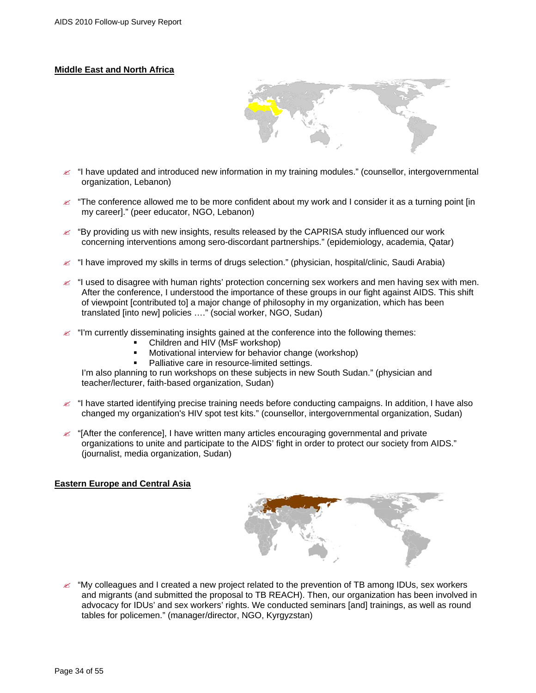# **Middle East and North Africa**



- $\mathcal{L}$  "I have updated and introduced new information in my training modules." (counsellor, intergovernmental organization, Lebanon)
- $\leq$  "The conference allowed me to be more confident about my work and I consider it as a turning point [in] my career]." (peer educator, NGO, Lebanon)
- $\approx$  "By providing us with new insights, results released by the CAPRISA study influenced our work concerning interventions among sero-discordant partnerships." (epidemiology, academia, Qatar)
- " "I have improved my skills in terms of drugs selection." (physician, hospital/clinic, Saudi Arabia)
- " "I used to disagree with human rights' protection concerning sex workers and men having sex with men. After the conference, I understood the importance of these groups in our fight against AIDS. This shift of viewpoint [contributed to] a major change of philosophy in my organization, which has been translated [into new] policies …." (social worker, NGO, Sudan)
- " "I'm currently disseminating insights gained at the conference into the following themes:
	- Children and HIV (MsF workshop)
	- Motivational interview for behavior change (workshop)
	- Palliative care in resource-limited settings.

I'm also planning to run workshops on these subjects in new South Sudan." (physician and teacher/lecturer, faith-based organization, Sudan)

- $\approx$  "I have started identifying precise training needs before conducting campaigns. In addition, I have also changed my organization's HIV spot test kits." (counsellor, intergovernmental organization, Sudan)
- $\approx$  "[After the conference], I have written many articles encouraging governmental and private organizations to unite and participate to the AIDS' fight in order to protect our society from AIDS." (journalist, media organization, Sudan)

#### **Eastern Europe and Central Asia**



 $\mathcal{L}$  "My colleagues and I created a new project related to the prevention of TB among IDUs, sex workers and migrants (and submitted the proposal to TB REACH). Then, our organization has been involved in advocacy for IDUs' and sex workers' rights. We conducted seminars [and] trainings, as well as round tables for policemen." (manager/director, NGO, Kyrgyzstan)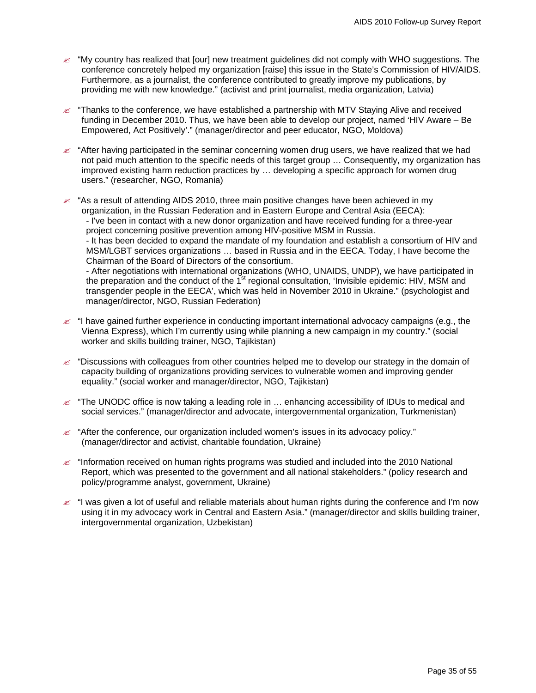- $\approx$  "My country has realized that [our] new treatment guidelines did not comply with WHO suggestions. The conference concretely helped my organization [raise] this issue in the State's Commission of HIV/AIDS. Furthermore, as a journalist, the conference contributed to greatly improve my publications, by providing me with new knowledge." (activist and print journalist, media organization, Latvia)
- $\approx$  "Thanks to the conference, we have established a partnership with MTV Staying Alive and received funding in December 2010. Thus, we have been able to develop our project, named 'HIV Aware – Be Empowered, Act Positively'." (manager/director and peer educator, NGO, Moldova)
- $\approx$  "After having participated in the seminar concerning women drug users, we have realized that we had not paid much attention to the specific needs of this target group … Consequently, my organization has improved existing harm reduction practices by … developing a specific approach for women drug users." (researcher, NGO, Romania)
- $\approx$  "As a result of attending AIDS 2010, three main positive changes have been achieved in my organization, in the Russian Federation and in Eastern Europe and Central Asia (EECA): - I've been in contact with a new donor organization and have received funding for a three-year project concerning positive prevention among HIV-positive MSM in Russia. - It has been decided to expand the mandate of my foundation and establish a consortium of HIV and MSM/LGBT services organizations … based in Russia and in the EECA. Today, I have become the Chairman of the Board of Directors of the consortium. - After negotiations with international organizations (WHO, UNAIDS, UNDP), we have participated in the preparation and the conduct of the  $1<sup>st</sup>$  regional consultation, 'Invisible epidemic: HIV, MSM and transgender people in the EECA', which was held in November 2010 in Ukraine." (psychologist and
- $\le$  "I have gained further experience in conducting important international advocacy campaigns (e.g., the Vienna Express), which I'm currently using while planning a new campaign in my country." (social worker and skills building trainer, NGO, Tajikistan)
- $\epsilon$  "Discussions with colleagues from other countries helped me to develop our strategy in the domain of capacity building of organizations providing services to vulnerable women and improving gender equality." (social worker and manager/director, NGO, Tajikistan)
- $\approx$  "The UNODC office is now taking a leading role in  $\ldots$  enhancing accessibility of IDUs to medical and social services." (manager/director and advocate, intergovernmental organization, Turkmenistan)
- $\approx$  "After the conference, our organization included women's issues in its advocacy policy." (manager/director and activist, charitable foundation, Ukraine)

manager/director, NGO, Russian Federation)

- $\approx$  "Information received on human rights programs was studied and included into the 2010 National Report, which was presented to the government and all national stakeholders." (policy research and policy/programme analyst, government, Ukraine)
- $\approx$  "I was given a lot of useful and reliable materials about human rights during the conference and I'm now using it in my advocacy work in Central and Eastern Asia." (manager/director and skills building trainer, intergovernmental organization, Uzbekistan)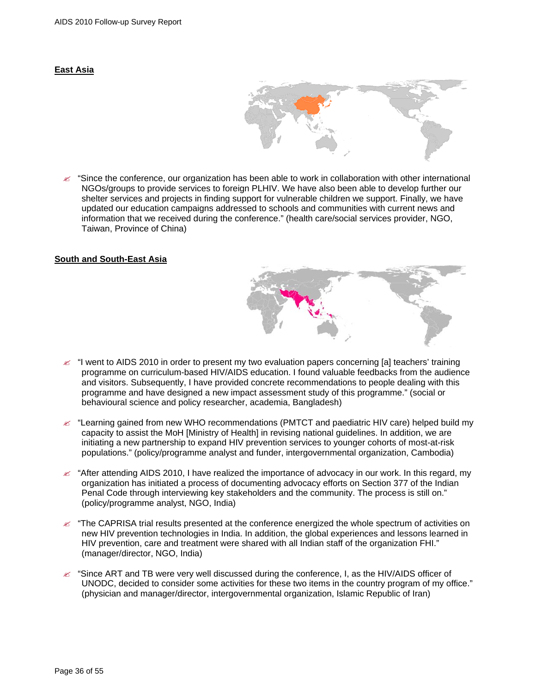#### **East Asia**



 $\leq$  "Since the conference, our organization has been able to work in collaboration with other international NGOs/groups to provide services to foreign PLHIV. We have also been able to develop further our shelter services and projects in finding support for vulnerable children we support. Finally, we have updated our education campaigns addressed to schools and communities with current news and information that we received during the conference." (health care/social services provider, NGO, Taiwan, Province of China)

#### **South and South-East Asia**



- $\approx$  "Learning gained from new WHO recommendations (PMTCT and paediatric HIV care) helped build my capacity to assist the MoH [Ministry of Health] in revising national guidelines. In addition, we are initiating a new partnership to expand HIV prevention services to younger cohorts of most-at-risk populations." (policy/programme analyst and funder, intergovernmental organization, Cambodia)
- " "After attending AIDS 2010, I have realized the importance of advocacy in our work. In this regard, my organization has initiated a process of documenting advocacy efforts on Section 377 of the Indian Penal Code through interviewing key stakeholders and the community. The process is still on." (policy/programme analyst, NGO, India)
- " "The CAPRISA trial results presented at the conference energized the whole spectrum of activities on new HIV prevention technologies in India. In addition, the global experiences and lessons learned in HIV prevention, care and treatment were shared with all Indian staff of the organization FHI." (manager/director, NGO, India)
- " "Since ART and TB were very well discussed during the conference, I, as the HIV/AIDS officer of UNODC, decided to consider some activities for these two items in the country program of my office." (physician and manager/director, intergovernmental organization, Islamic Republic of Iran)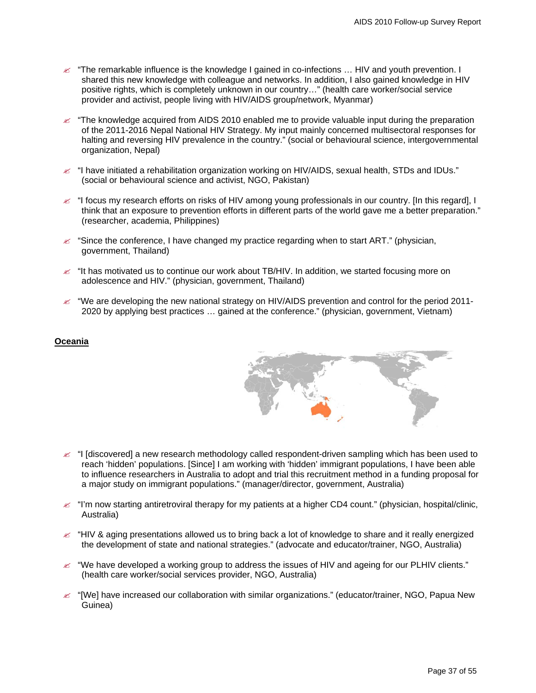- $\approx$  "The remarkable influence is the knowledge I gained in co-infections ... HIV and youth prevention. I shared this new knowledge with colleague and networks. In addition, I also gained knowledge in HIV positive rights, which is completely unknown in our country…" (health care worker/social service provider and activist, people living with HIV/AIDS group/network, Myanmar)
- " "The knowledge acquired from AIDS 2010 enabled me to provide valuable input during the preparation of the 2011-2016 Nepal National HIV Strategy. My input mainly concerned multisectoral responses for halting and reversing HIV prevalence in the country." (social or behavioural science, intergovernmental organization, Nepal)
- $\approx$  "I have initiated a rehabilitation organization working on HIV/AIDS, sexual health, STDs and IDUs." (social or behavioural science and activist, NGO, Pakistan)
- $\approx$  "I focus my research efforts on risks of HIV among young professionals in our country. [In this regard], I think that an exposure to prevention efforts in different parts of the world gave me a better preparation." (researcher, academia, Philippines)
- $\mathscr{\mathscr{L}}$  "Since the conference, I have changed my practice regarding when to start ART." (physician, government, Thailand)
- $\approx$  "It has motivated us to continue our work about TB/HIV. In addition, we started focusing more on adolescence and HIV." (physician, government, Thailand)
- $\ll$  "We are developing the new national strategy on HIV/AIDS prevention and control for the period 2011-2020 by applying best practices … gained at the conference." (physician, government, Vietnam)

#### **Oceania**



- $\le$  "I [discovered] a new research methodology called respondent-driven sampling which has been used to reach 'hidden' populations. [Since] I am working with 'hidden' immigrant populations, I have been able to influence researchers in Australia to adopt and trial this recruitment method in a funding proposal for a major study on immigrant populations." (manager/director, government, Australia)
- $\le$  "I'm now starting antiretroviral therapy for my patients at a higher CD4 count." (physician, hospital/clinic, Australia)
- $\approx$  "HIV & aging presentations allowed us to bring back a lot of knowledge to share and it really energized the development of state and national strategies." (advocate and educator/trainer, NGO, Australia)
- $\ll$  "We have developed a working group to address the issues of HIV and ageing for our PLHIV clients." (health care worker/social services provider, NGO, Australia)
- $\approx$  "[We] have increased our collaboration with similar organizations." (educator/trainer, NGO, Papua New Guinea)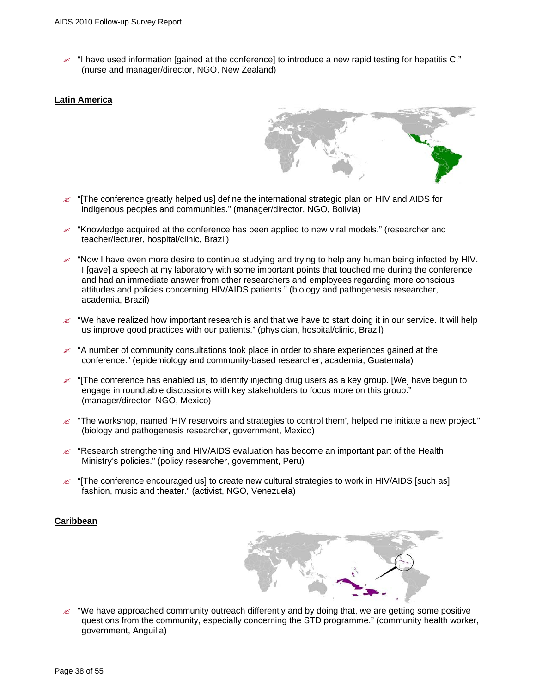$\epsilon$  "I have used information [gained at the conference] to introduce a new rapid testing for hepatitis C." (nurse and manager/director, NGO, New Zealand)

#### **Latin America**

- 
- $\epsilon$  "The conference greatly helped us] define the international strategic plan on HIV and AIDS for indigenous peoples and communities." (manager/director, NGO, Bolivia)
- $\mathscr{L}$  "Knowledge acquired at the conference has been applied to new viral models." (researcher and teacher/lecturer, hospital/clinic, Brazil)
- $\approx$  "Now I have even more desire to continue studying and trying to help any human being infected by HIV. I [gave] a speech at my laboratory with some important points that touched me during the conference and had an immediate answer from other researchers and employees regarding more conscious attitudes and policies concerning HIV/AIDS patients." (biology and pathogenesis researcher, academia, Brazil)
- " "We have realized how important research is and that we have to start doing it in our service. It will help us improve good practices with our patients." (physician, hospital/clinic, Brazil)
- $\approx$  "A number of community consultations took place in order to share experiences gained at the conference." (epidemiology and community-based researcher, academia, Guatemala)
- $\ll$  "[The conference has enabled us] to identify injecting drug users as a key group. [We] have begun to engage in roundtable discussions with key stakeholders to focus more on this group." (manager/director, NGO, Mexico)
- $\epsilon$  "The workshop, named 'HIV reservoirs and strategies to control them', helped me initiate a new project." (biology and pathogenesis researcher, government, Mexico)
- $\approx$  "Research strengthening and HIV/AIDS evaluation has become an important part of the Health Ministry's policies." (policy researcher, government, Peru)
- $\ll$  "[The conference encouraged us] to create new cultural strategies to work in HIV/AIDS [such as] fashion, music and theater." (activist, NGO, Venezuela)

#### **Caribbean**



" "We have approached community outreach differently and by doing that, we are getting some positive questions from the community, especially concerning the STD programme." (community health worker, government, Anguilla)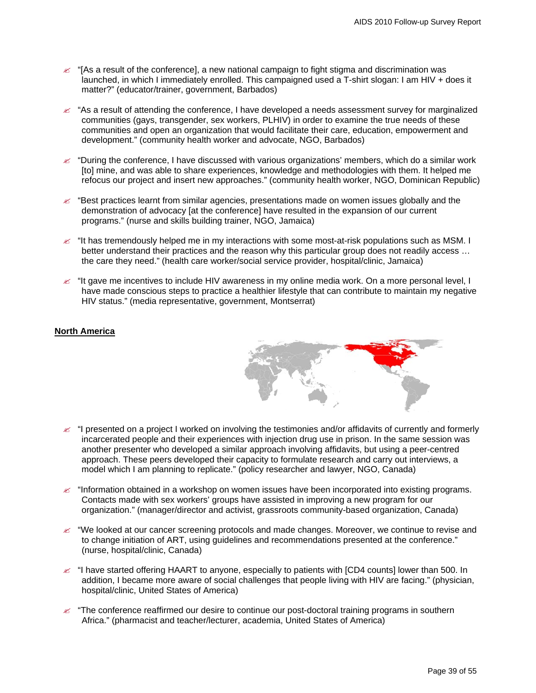- $\epsilon$  " [As a result of the conference], a new national campaign to fight stigma and discrimination was launched, in which I immediately enrolled. This campaigned used a T-shirt slogan: I am HIV + does it matter?" (educator/trainer, government, Barbados)
- $\mathscr{L}$  "As a result of attending the conference, I have developed a needs assessment survey for marginalized communities (gays, transgender, sex workers, PLHIV) in order to examine the true needs of these communities and open an organization that would facilitate their care, education, empowerment and development." (community health worker and advocate, NGO, Barbados)
- $\approx$  "During the conference, I have discussed with various organizations' members, which do a similar work [to] mine, and was able to share experiences, knowledge and methodologies with them. It helped me refocus our project and insert new approaches." (community health worker, NGO, Dominican Republic)
- $\approx$  "Best practices learnt from similar agencies, presentations made on women issues globally and the demonstration of advocacy [at the conference] have resulted in the expansion of our current programs." (nurse and skills building trainer, NGO, Jamaica)
- $\ll$  "It has tremendously helped me in my interactions with some most-at-risk populations such as MSM. I better understand their practices and the reason why this particular group does not readily access … the care they need." (health care worker/social service provider, hospital/clinic, Jamaica)
- $\epsilon$  "It gave me incentives to include HIV awareness in my online media work. On a more personal level, I have made conscious steps to practice a healthier lifestyle that can contribute to maintain my negative HIV status." (media representative, government, Montserrat)

# **North America**



- " "I presented on a project I worked on involving the testimonies and/or affidavits of currently and formerly incarcerated people and their experiences with injection drug use in prison. In the same session was another presenter who developed a similar approach involving affidavits, but using a peer-centred approach. These peers developed their capacity to formulate research and carry out interviews, a model which I am planning to replicate." (policy researcher and lawyer, NGO, Canada)
- $\approx$  "Information obtained in a workshop on women issues have been incorporated into existing programs. Contacts made with sex workers' groups have assisted in improving a new program for our organization." (manager/director and activist, grassroots community-based organization, Canada)
- $\ll$  "We looked at our cancer screening protocols and made changes. Moreover, we continue to revise and to change initiation of ART, using guidelines and recommendations presented at the conference." (nurse, hospital/clinic, Canada)
- $\approx$  "I have started offering HAART to anyone, especially to patients with [CD4 counts] lower than 500. In addition, I became more aware of social challenges that people living with HIV are facing." (physician, hospital/clinic, United States of America)
- $\approx$  "The conference reaffirmed our desire to continue our post-doctoral training programs in southern Africa." (pharmacist and teacher/lecturer, academia, United States of America)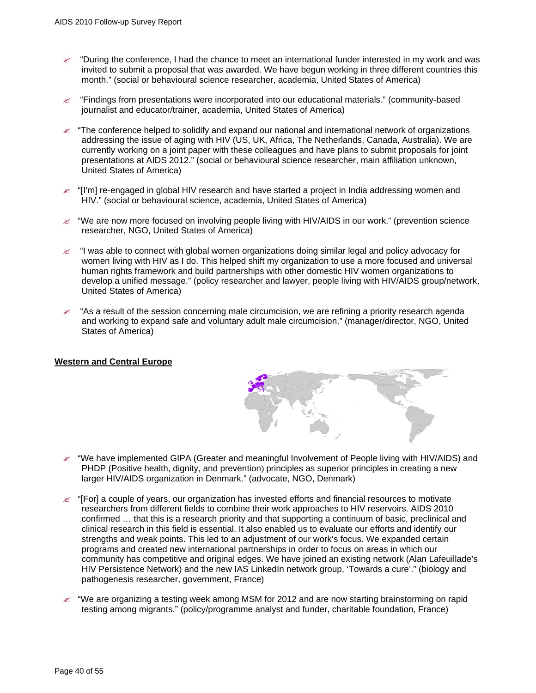- $\approx$  "During the conference, I had the chance to meet an international funder interested in my work and was invited to submit a proposal that was awarded. We have begun working in three different countries this month." (social or behavioural science researcher, academia, United States of America)
- $\epsilon$  "Findings from presentations were incorporated into our educational materials." (community-based journalist and educator/trainer, academia, United States of America)
- $\mathbb Z$  "The conference helped to solidify and expand our national and international network of organizations addressing the issue of aging with HIV (US, UK, Africa, The Netherlands, Canada, Australia). We are currently working on a joint paper with these colleagues and have plans to submit proposals for joint presentations at AIDS 2012." (social or behavioural science researcher, main affiliation unknown, United States of America)
- " "[I'm] re-engaged in global HIV research and have started a project in India addressing women and HIV." (social or behavioural science, academia, United States of America)
- $\approx$  "We are now more focused on involving people living with HIV/AIDS in our work." (prevention science researcher, NGO, United States of America)
- $\ll$  "I was able to connect with global women organizations doing similar legal and policy advocacy for women living with HIV as I do. This helped shift my organization to use a more focused and universal human rights framework and build partnerships with other domestic HIV women organizations to develop a unified message." (policy researcher and lawyer, people living with HIV/AIDS group/network, United States of America)
- " "As a result of the session concerning male circumcision, we are refining a priority research agenda and working to expand safe and voluntary adult male circumcision." (manager/director, NGO, United States of America)

#### **Western and Central Europe**



- $\approx$  "We have implemented GIPA (Greater and meaningful Involvement of People living with HIV/AIDS) and PHDP (Positive health, dignity, and prevention) principles as superior principles in creating a new larger HIV/AIDS organization in Denmark." (advocate, NGO, Denmark)
- $\ll$  "[For] a couple of years, our organization has invested efforts and financial resources to motivate researchers from different fields to combine their work approaches to HIV reservoirs. AIDS 2010 confirmed … that this is a research priority and that supporting a continuum of basic, preclinical and clinical research in this field is essential. It also enabled us to evaluate our efforts and identify our strengths and weak points. This led to an adjustment of our work's focus. We expanded certain programs and created new international partnerships in order to focus on areas in which our community has competitive and original edges. We have joined an existing network (Alan Lafeuillade's HIV Persistence Network) and the new IAS LinkedIn network group, 'Towards a cure'." (biology and pathogenesis researcher, government, France)
- " "We are organizing a testing week among MSM for 2012 and are now starting brainstorming on rapid testing among migrants." (policy/programme analyst and funder, charitable foundation, France)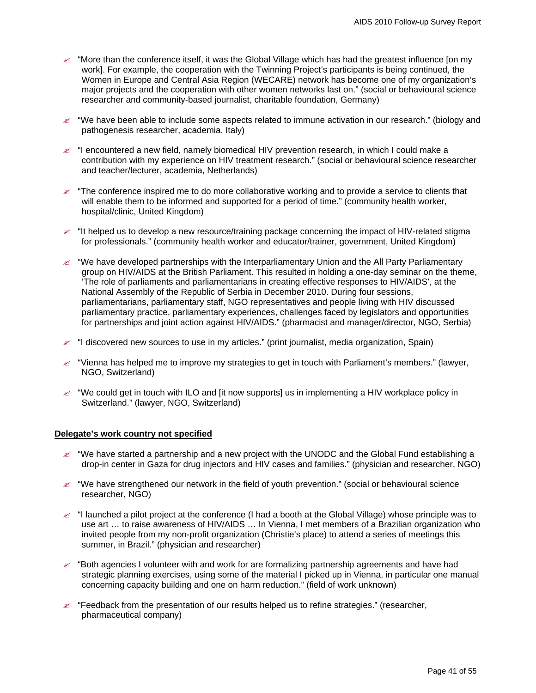- $\approx$  "More than the conference itself, it was the Global Village which has had the greatest influence [on my work]. For example, the cooperation with the Twinning Project's participants is being continued, the Women in Europe and Central Asia Region (WECARE) network has become one of my organization's major projects and the cooperation with other women networks last on." (social or behavioural science researcher and community-based journalist, charitable foundation, Germany)
- $\approx$  "We have been able to include some aspects related to immune activation in our research." (biology and pathogenesis researcher, academia, Italy)
- $\epsilon$  "I encountered a new field, namely biomedical HIV prevention research, in which I could make a contribution with my experience on HIV treatment research." (social or behavioural science researcher and teacher/lecturer, academia, Netherlands)
- $\approx$  "The conference inspired me to do more collaborative working and to provide a service to clients that will enable them to be informed and supported for a period of time." (community health worker, hospital/clinic, United Kingdom)
- $\approx$  "It helped us to develop a new resource/training package concerning the impact of HIV-related stigma for professionals." (community health worker and educator/trainer, government, United Kingdom)
- $\ll$  "We have developed partnerships with the Interparliamentary Union and the All Party Parliamentary group on HIV/AIDS at the British Parliament. This resulted in holding a one-day seminar on the theme, 'The role of parliaments and parliamentarians in creating effective responses to HIV/AIDS', at the National Assembly of the Republic of Serbia in December 2010. During four sessions, parliamentarians, parliamentary staff, NGO representatives and people living with HIV discussed parliamentary practice, parliamentary experiences, challenges faced by legislators and opportunities for partnerships and joint action against HIV/AIDS." (pharmacist and manager/director, NGO, Serbia)
- $\approx$  "I discovered new sources to use in my articles." (print journalist, media organization, Spain)
- $\approx$  "Vienna has helped me to improve my strategies to get in touch with Parliament's members." (lawyer, NGO, Switzerland)
- $\approx$  "We could get in touch with ILO and [it now supports] us in implementing a HIV workplace policy in Switzerland." (lawyer, NGO, Switzerland)

#### **Delegate's work country not specified**

- $\approx$  "We have started a partnership and a new project with the UNODC and the Global Fund establishing a drop-in center in Gaza for drug injectors and HIV cases and families." (physician and researcher, NGO)
- $\approx$  "We have strengthened our network in the field of youth prevention." (social or behavioural science researcher, NGO)
- $\le$  "I launched a pilot project at the conference (I had a booth at the Global Village) whose principle was to use art … to raise awareness of HIV/AIDS … In Vienna, I met members of a Brazilian organization who invited people from my non-profit organization (Christie's place) to attend a series of meetings this summer, in Brazil." (physician and researcher)
- $\epsilon$  "Both agencies I volunteer with and work for are formalizing partnership agreements and have had strategic planning exercises, using some of the material I picked up in Vienna, in particular one manual concerning capacity building and one on harm reduction." (field of work unknown)
- $\approx$  "Feedback from the presentation of our results helped us to refine strategies." (researcher, pharmaceutical company)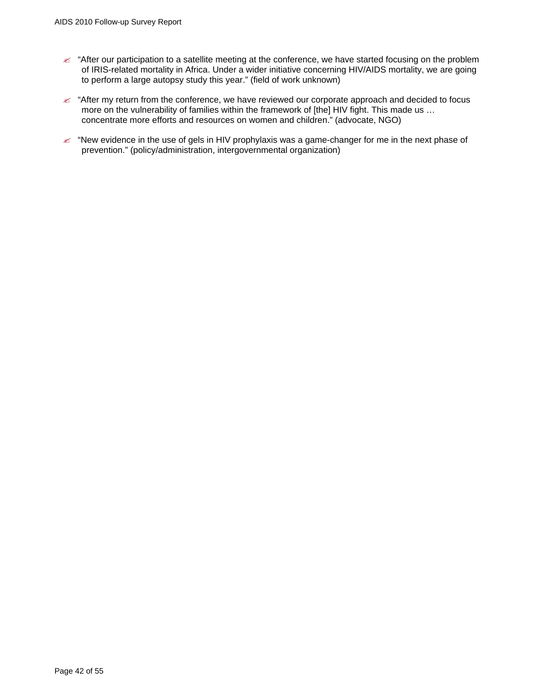- $\le$  "After our participation to a satellite meeting at the conference, we have started focusing on the problem of IRIS-related mortality in Africa. Under a wider initiative concerning HIV/AIDS mortality, we are going to perform a large autopsy study this year." (field of work unknown)
- $\mathcal{L}$  "After my return from the conference, we have reviewed our corporate approach and decided to focus more on the vulnerability of families within the framework of [the] HIV fight. This made us ... concentrate more efforts and resources on women and children." (advocate, NGO)
- $\mathscr{L}$  "New evidence in the use of gels in HIV prophylaxis was a game-changer for me in the next phase of prevention." (policy/administration, intergovernmental organization)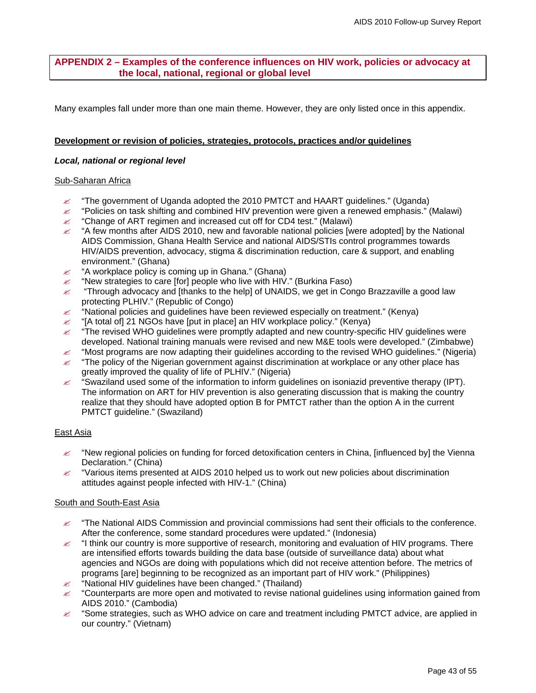# <span id="page-42-0"></span>**APPENDIX 2 – Examples of the conference influences on HIV work, policies or advocacy at the local, national, regional or global level**

Many examples fall under more than one main theme. However, they are only listed once in this appendix.

#### **Development or revision of policies, strategies, protocols, practices and/or guidelines**

#### *Local, national or regional level*

#### Sub-Saharan Africa

- $\approx$  "The government of Uganda adopted the 2010 PMTCT and HAART guidelines." (Uganda)
- $\approx$  "Policies on task shifting and combined HIV prevention were given a renewed emphasis." (Malawi)  $\mathscr{L}$  "Change of ART regimen and increased cut off for CD4 test." (Malawi)
- $\approx$  "A few months after AIDS 2010, new and favorable national policies [were adopted] by the National AIDS Commission, Ghana Health Service and national AIDS/STIs control programmes towards HIV/AIDS prevention, advocacy, stigma & discrimination reduction, care & support, and enabling environment." (Ghana)
- $\mathscr{L}$  "A workplace policy is coming up in Ghana." (Ghana)
- $\approx$  "New strategies to care [for] people who live with HIV." (Burkina Faso)
- $\approx$  "Through advocacy and [thanks to the help] of UNAIDS, we get in Congo Brazzaville a good law protecting PLHIV." (Republic of Congo)
- $\mathscr{L}$  "National policies and guidelines have been reviewed especially on treatment." (Kenya)
- $\mathscr{L}$  "[A total of] 21 NGOs have [put in place] an HIV workplace policy." (Kenya)
- $\epsilon$  "The revised WHO guidelines were promptly adapted and new country-specific HIV guidelines were developed. National training manuals were revised and new M&E tools were developed." (Zimbabwe)
- $\approx$  "Most programs are now adapting their guidelines according to the revised WHO guidelines." (Nigeria)  $\epsilon$  "The policy of the Nigerian government against discrimination at workplace or any other place has
- greatly improved the quality of life of PLHIV." (Nigeria)
- $\approx$  "Swaziland used some of the information to inform guidelines on isoniazid preventive therapy (IPT). The information on ART for HIV prevention is also generating discussion that is making the country realize that they should have adopted option B for PMTCT rather than the option A in the current PMTCT guideline." (Swaziland)

#### East Asia

- $\approx$  "New regional policies on funding for forced detoxification centers in China, [influenced by] the Vienna Declaration." (China)
- $\mathscr{L}$  "Various items presented at AIDS 2010 helped us to work out new policies about discrimination attitudes against people infected with HIV-1." (China)

#### South and South-East Asia

- $\approx$  "The National AIDS Commission and provincial commissions had sent their officials to the conference. After the conference, some standard procedures were updated." (Indonesia)
- $\approx$  "I think our country is more supportive of research, monitoring and evaluation of HIV programs. There are intensified efforts towards building the data base (outside of surveillance data) about what agencies and NGOs are doing with populations which did not receive attention before. The metrics of programs [are] beginning to be recognized as an important part of HIV work." (Philippines)
- $\approx$  "National HIV guidelines have been changed." (Thailand)
- $\ll$  "Counterparts are more open and motivated to revise national guidelines using information gained from AIDS 2010." (Cambodia)
- $\approx$  "Some strategies, such as WHO advice on care and treatment including PMTCT advice, are applied in our country." (Vietnam)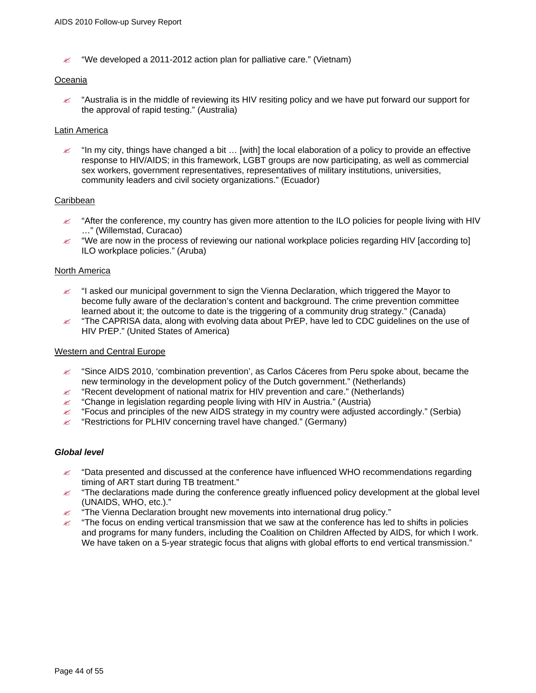$\approx$  "We developed a 2011-2012 action plan for palliative care." (Vietnam)

#### Oceania

 $\ll$  "Australia is in the middle of reviewing its HIV resiting policy and we have put forward our support for the approval of rapid testing." (Australia)

#### **Latin America**

 $\approx$  "In my city, things have changed a bit ... [with] the local elaboration of a policy to provide an effective response to HIV/AIDS; in this framework, LGBT groups are now participating, as well as commercial sex workers, government representatives, representatives of military institutions, universities, community leaders and civil society organizations." (Ecuador)

#### **Caribbean**

- $\approx$  "After the conference, my country has given more attention to the ILO policies for people living with HIV …" (Willemstad, Curacao)
- $\ll$  "We are now in the process of reviewing our national workplace policies regarding HIV [according to] ILO workplace policies." (Aruba)

#### North America

- $\ll$  "I asked our municipal government to sign the Vienna Declaration, which triggered the Mayor to become fully aware of the declaration's content and background. The crime prevention committee learned about it; the outcome to date is the triggering of a community drug strategy." (Canada)
- $\ll$  "The CAPRISA data, along with evolving data about PrEP, have led to CDC guidelines on the use of HIV PrEP." (United States of America)

#### Western and Central Europe

- $\approx$  "Since AIDS 2010, 'combination prevention', as Carlos Cáceres from Peru spoke about, became the new terminology in the development policy of the Dutch government." (Netherlands)
- $\approx$  "Recent development of national matrix for HIV prevention and care." (Netherlands)
- $\mathscr{\mathscr{L}}$  "Change in legislation regarding people living with HIV in Austria." (Austria)
- $\ll$  "Focus and principles of the new AIDS strategy in my country were adjusted accordingly." (Serbia)
- $\mathscr{L}$  "Restrictions for PLHIV concerning travel have changed." (Germany)

#### *Global level*

- $\approx$  "Data presented and discussed at the conference have influenced WHO recommendations regarding timing of ART start during TB treatment."
- $\leq$  "The declarations made during the conference greatly influenced policy development at the global level (UNAIDS, WHO, etc.)."
- $\mathscr{L}$  "The Vienna Declaration brought new movements into international drug policy."
- $\ll$  "The focus on ending vertical transmission that we saw at the conference has led to shifts in policies and programs for many funders, including the Coalition on Children Affected by AIDS, for which I work. We have taken on a 5-year strategic focus that aligns with global efforts to end vertical transmission."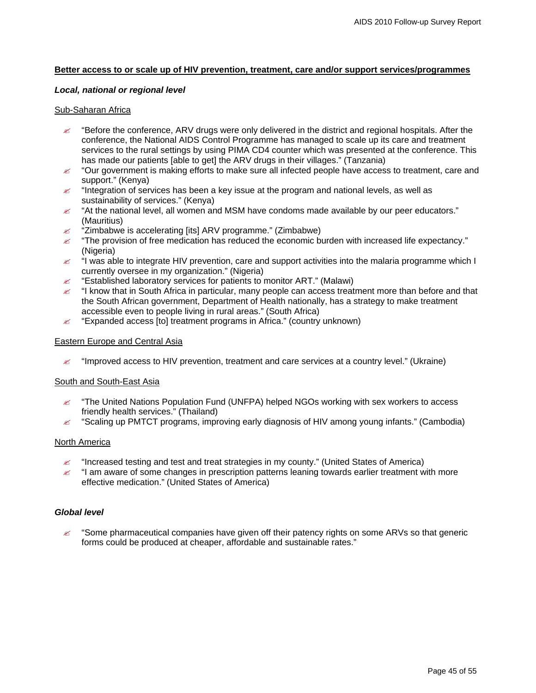#### **Better access to or scale up of HIV prevention, treatment, care and/or support services/programmes**

#### *Local, national or regional level*

#### Sub-Saharan Africa

- $\ll$  "Before the conference, ARV drugs were only delivered in the district and regional hospitals. After the conference, the National AIDS Control Programme has managed to scale up its care and treatment services to the rural settings by using PIMA CD4 counter which was presented at the conference. This has made our patients [able to get] the ARV drugs in their villages." (Tanzania)
- $\ll$  "Our government is making efforts to make sure all infected people have access to treatment, care and support." (Kenya)
- $\epsilon$  "Integration of services has been a key issue at the program and national levels, as well as sustainability of services." (Kenya)
- $\approx$  "At the national level, all women and MSM have condoms made available by our peer educators." (Mauritius)
- $\approx$  "Zimbabwe is accelerating [its] ARV programme." (Zimbabwe)
- $\mathscr{L}$  "The provision of free medication has reduced the economic burden with increased life expectancy." (Nigeria)
- $\ll$  "I was able to integrate HIV prevention, care and support activities into the malaria programme which I currently oversee in my organization." (Nigeria)
- $\mathscr{L}$  "Established laboratory services for patients to monitor ART." (Malawi)
- " "I know that in South Africa in particular, many people can access treatment more than before and that the South African government, Department of Health nationally, has a strategy to make treatment accessible even to people living in rural areas." (South Africa)
- $\mathscr{L}$  "Expanded access [to] treatment programs in Africa." (country unknown)

#### Eastern Europe and Central Asia

 $\ll$  "Improved access to HIV prevention, treatment and care services at a country level." (Ukraine)

#### South and South-East Asia

- $\mathbb Z$  "The United Nations Population Fund (UNFPA) helped NGOs working with sex workers to access friendly health services." (Thailand)
- $\approx$  "Scaling up PMTCT programs, improving early diagnosis of HIV among young infants." (Cambodia)

#### North America

- $\mathscr A$  "Increased testing and test and treat strategies in my county." (United States of America)
- $\mathscr{L}$  "I am aware of some changes in prescription patterns leaning towards earlier treatment with more effective medication." (United States of America)

#### *Global level*

 $\approx$  "Some pharmaceutical companies have given off their patency rights on some ARVs so that generic forms could be produced at cheaper, affordable and sustainable rates."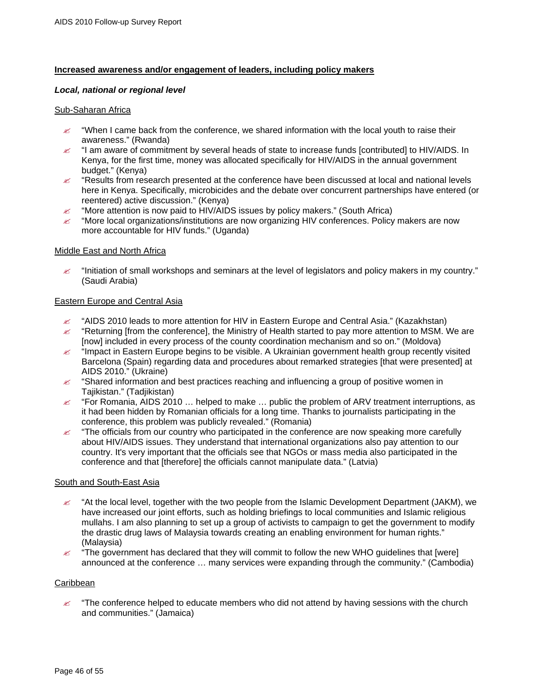#### **Increased awareness and/or engagement of leaders, including policy makers**

#### *Local, national or regional level*

#### Sub-Saharan Africa

- $\ll$  "When I came back from the conference, we shared information with the local youth to raise their awareness." (Rwanda)
- $\approx$  "I am aware of commitment by several heads of state to increase funds [contributed] to HIV/AIDS. In Kenya, for the first time, money was allocated specifically for HIV/AIDS in the annual government budget." (Kenya)
- $\approx$  "Results from research presented at the conference have been discussed at local and national levels here in Kenya. Specifically, microbicides and the debate over concurrent partnerships have entered (or reentered) active discussion." (Kenya)
- $\mathscr{L}$  "More attention is now paid to HIV/AIDS issues by policy makers." (South Africa)
- $\approx$  "More local organizations/institutions are now organizing HIV conferences. Policy makers are now more accountable for HIV funds." (Uganda)

#### Middle East and North Africa

 $\approx$  "Initiation of small workshops and seminars at the level of legislators and policy makers in my country." (Saudi Arabia)

#### Eastern Europe and Central Asia

- $\approx$  "AIDS 2010 leads to more attention for HIV in Eastern Europe and Central Asia." (Kazakhstan)
- $\approx$  "Returning [from the conference], the Ministry of Health started to pay more attention to MSM. We are [now] included in every process of the county coordination mechanism and so on." (Moldova)
- $\ll$  "Impact in Eastern Europe begins to be visible. A Ukrainian government health group recently visited Barcelona (Spain) regarding data and procedures about remarked strategies [that were presented] at AIDS 2010." (Ukraine)
- $\approx$  "Shared information and best practices reaching and influencing a group of positive women in Tajikistan." (Tadjikistan)
- $\epsilon$  "For Romania, AIDS 2010 ... helped to make ... public the problem of ARV treatment interruptions, as it had been hidden by Romanian officials for a long time. Thanks to journalists participating in the conference, this problem was publicly revealed." (Romania)
- $\approx$  "The officials from our country who participated in the conference are now speaking more carefully about HIV/AIDS issues. They understand that international organizations also pay attention to our country. It's very important that the officials see that NGOs or mass media also participated in the conference and that [therefore] the officials cannot manipulate data." (Latvia)

#### South and South-East Asia

- $\approx$  "At the local level, together with the two people from the Islamic Development Department (JAKM), we have increased our joint efforts, such as holding briefings to local communities and Islamic religious mullahs. I am also planning to set up a group of activists to campaign to get the government to modify the drastic drug laws of Malaysia towards creating an enabling environment for human rights." (Malaysia)
- $\ll$  "The government has declared that they will commit to follow the new WHO guidelines that [were] announced at the conference … many services were expanding through the community." (Cambodia)

#### **Caribbean**

 $\mathscr{\mathscr{L}}$  "The conference helped to educate members who did not attend by having sessions with the church and communities." (Jamaica)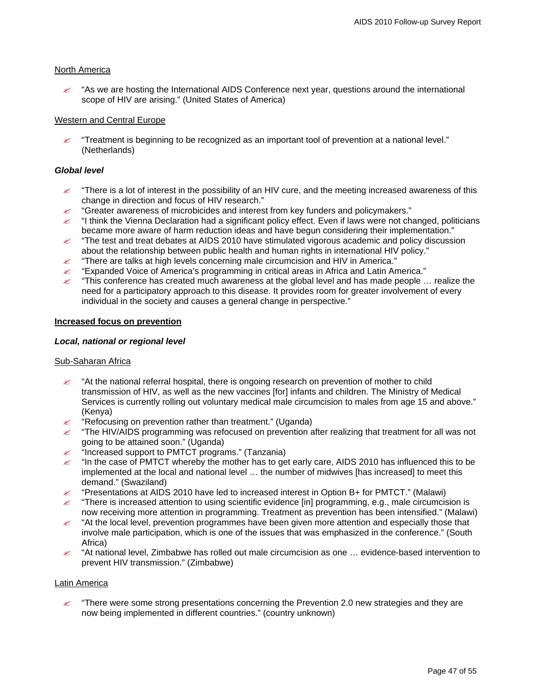#### North America

 $\approx$  "As we are hosting the International AIDS Conference next year, questions around the international scope of HIV are arising." (United States of America)

#### Western and Central Europe

 $\mathscr Z$  "Treatment is beginning to be recognized as an important tool of prevention at a national level." (Netherlands)

#### *Global level*

- $\leq$  "There is a lot of interest in the possibility of an HIV cure, and the meeting increased awareness of this change in direction and focus of HIV research."
- $\mathscr{\mathscr{L}}$  "Greater awareness of microbicides and interest from key funders and policymakers."
- $\leq$  "I think the Vienna Declaration had a significant policy effect. Even if laws were not changed, politicians became more aware of harm reduction ideas and have begun considering their implementation."
- $\approx$  "The test and treat debates at AIDS 2010 have stimulated vigorous academic and policy discussion about the relationship between public health and human rights in international HIV policy."
- $\mathscr{\mathscr{L}}$  "There are talks at high levels concerning male circumcision and HIV in America."
- $\approx$  "Expanded Voice of America's programming in critical areas in Africa and Latin America."
- $\leq$  "This conference has created much awareness at the global level and has made people ... realize the need for a participatory approach to this disease. It provides room for greater involvement of every individual in the society and causes a general change in perspective."

#### **Increased focus on prevention**

#### *Local, national or regional level*

#### Sub-Saharan Africa

- $\approx$  "At the national referral hospital, there is ongoing research on prevention of mother to child transmission of HIV, as well as the new vaccines [for] infants and children. The Ministry of Medical Services is currently rolling out voluntary medical male circumcision to males from age 15 and above." (Kenya)
- $\mathscr{L}$  "Refocusing on prevention rather than treatment." (Uganda)
- $\approx$  "The HIV/AIDS programming was refocused on prevention after realizing that treatment for all was not going to be attained soon." (Uganda)
- $\approx$  "Increased support to PMTCT programs." (Tanzania)
- $\leq$  "In the case of PMTCT whereby the mother has to get early care, AIDS 2010 has influenced this to be implemented at the local and national level … the number of midwives [has increased] to meet this demand." (Swaziland)
- $\approx$  "Presentations at AIDS 2010 have led to increased interest in Option B+ for PMTCT." (Malawi)
- $\leq$  "There is increased attention to using scientific evidence [in] programming, e.g., male circumcision is now receiving more attention in programming. Treatment as prevention has been intensified." (Malawi)
- $\approx$  "At the local level, prevention programmes have been given more attention and especially those that involve male participation, which is one of the issues that was emphasized in the conference." (South Africa)
- $\approx$  "At national level, Zimbabwe has rolled out male circumcision as one ... evidence-based intervention to prevent HIV transmission." (Zimbabwe)

#### Latin America

 $\epsilon$  "There were some strong presentations concerning the Prevention 2.0 new strategies and they are now being implemented in different countries." (country unknown)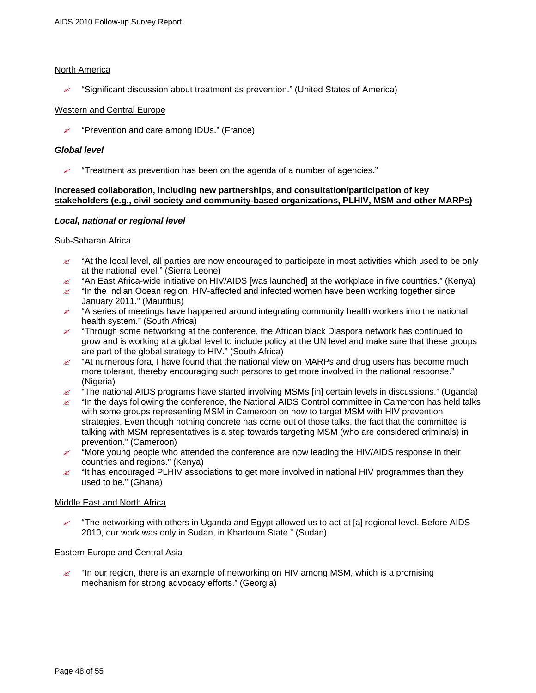### North America

" "Significant discussion about treatment as prevention." (United States of America)

#### Western and Central Europe

 $\mathscr{L}$  "Prevention and care among IDUs." (France)

#### *Global level*

 $\mathscr{\mathscr{L}}$  "Treatment as prevention has been on the agenda of a number of agencies."

#### **Increased collaboration, including new partnerships, and consultation/participation of key stakeholders (e.g., civil society and community-based organizations, PLHIV, MSM and other MARPs)**

#### *Local, national or regional level*

#### Sub-Saharan Africa

- $\ll$  "At the local level, all parties are now encouraged to participate in most activities which used to be only at the national level." (Sierra Leone)
- $\approx$  "An East Africa-wide initiative on HIV/AIDS [was launched] at the workplace in five countries." (Kenya)
- $\approx$  "In the Indian Ocean region, HIV-affected and infected women have been working together since January 2011." (Mauritius)
- $\ll$  "A series of meetings have happened around integrating community health workers into the national health system." (South Africa)
- $\mathbb Z$  "Through some networking at the conference, the African black Diaspora network has continued to grow and is working at a global level to include policy at the UN level and make sure that these groups are part of the global strategy to HIV." (South Africa)
- $\ll$  "At numerous fora, I have found that the national view on MARPs and drug users has become much more tolerant, thereby encouraging such persons to get more involved in the national response." (Nigeria)
- $\ll$  "The national AIDS programs have started involving MSMs [in] certain levels in discussions." (Uganda)
- $\approx$  "In the days following the conference, the National AIDS Control committee in Cameroon has held talks with some groups representing MSM in Cameroon on how to target MSM with HIV prevention strategies. Even though nothing concrete has come out of those talks, the fact that the committee is talking with MSM representatives is a step towards targeting MSM (who are considered criminals) in prevention." (Cameroon)
- $\mathscr Z$  "More young people who attended the conference are now leading the HIV/AIDS response in their countries and regions." (Kenya)
- $\approx$  "It has encouraged PLHIV associations to get more involved in national HIV programmes than they used to be." (Ghana)

#### Middle East and North Africa

 $\ll$  "The networking with others in Uganda and Egypt allowed us to act at [a] regional level. Before AIDS 2010, our work was only in Sudan, in Khartoum State." (Sudan)

#### Eastern Europe and Central Asia

 $\approx$  "In our region, there is an example of networking on HIV among MSM, which is a promising mechanism for strong advocacy efforts." (Georgia)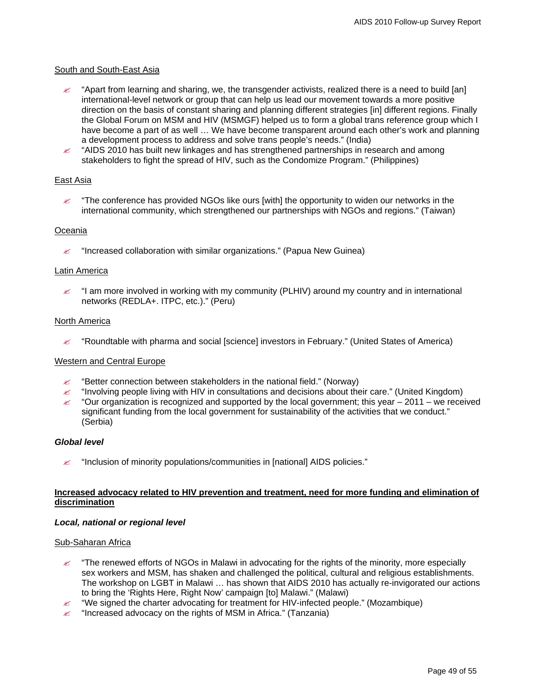#### South and South-East Asia

- " "Apart from learning and sharing, we, the transgender activists, realized there is a need to build [an] international-level network or group that can help us lead our movement towards a more positive direction on the basis of constant sharing and planning different strategies [in] different regions. Finally the Global Forum on MSM and HIV (MSMGF) helped us to form a global trans reference group which I have become a part of as well … We have become transparent around each other's work and planning a development process to address and solve trans people's needs." (India)
- $\approx$  "AIDS 2010 has built new linkages and has strengthened partnerships in research and among stakeholders to fight the spread of HIV, such as the Condomize Program." (Philippines)

#### East Asia

 $\mathscr{\mathscr{L}}$  "The conference has provided NGOs like ours [with] the opportunity to widen our networks in the international community, which strengthened our partnerships with NGOs and regions." (Taiwan)

#### Oceania

 $\mathscr{L}$  "Increased collaboration with similar organizations." (Papua New Guinea)

#### Latin America

 $\approx$  "I am more involved in working with my community (PLHIV) around my country and in international networks (REDLA+. ITPC, etc.)." (Peru)

#### North America

" "Roundtable with pharma and social [science] investors in February." (United States of America)

#### Western and Central Europe

- $\approx$  "Better connection between stakeholders in the national field." (Norway)
- $\approx$  "Involving people living with HIV in consultations and decisions about their care." (United Kingdom)
- $\approx$  "Our organization is recognized and supported by the local government; this year 2011 we received significant funding from the local government for sustainability of the activities that we conduct." (Serbia)

#### *Global level*

 $\mathscr{L}$  "Inclusion of minority populations/communities in [national] AIDS policies."

#### **Increased advocacy related to HIV prevention and treatment, need for more funding and elimination of discrimination**

#### *Local, national or regional level*

#### Sub-Saharan Africa

- $\ll$  "The renewed efforts of NGOs in Malawi in advocating for the rights of the minority, more especially sex workers and MSM, has shaken and challenged the political, cultural and religious establishments. The workshop on LGBT in Malawi … has shown that AIDS 2010 has actually re-invigorated our actions to bring the 'Rights Here, Right Now' campaign [to] Malawi." (Malawi)
- $\approx$  "We signed the charter advocating for treatment for HIV-infected people." (Mozambique)
- $\mathbb{Z}$  "Increased advocacy on the rights of MSM in Africa." (Tanzania)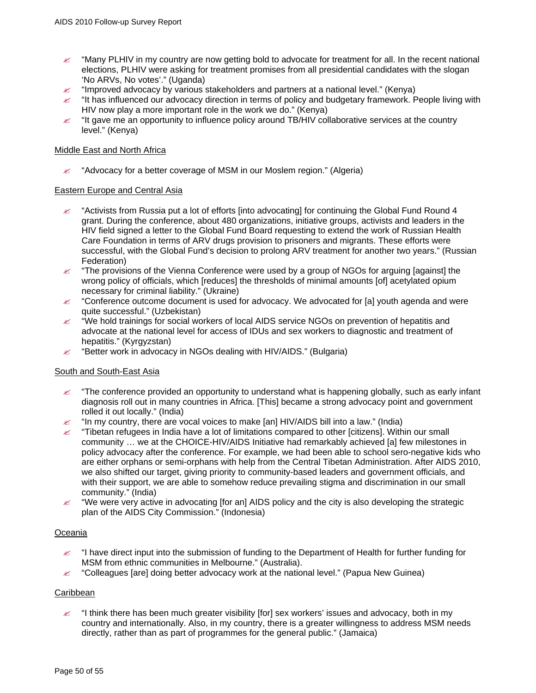- "Many PLHIV in my country are now getting bold to advocate for treatment for all. In the recent national elections, PLHIV were asking for treatment promises from all presidential candidates with the slogan 'No ARVs, No votes'." (Uganda)
- $\approx$  "Improved advocacy by various stakeholders and partners at a national level." (Kenya)
- $\ll$  "It has influenced our advocacy direction in terms of policy and budgetary framework. People living with HIV now play a more important role in the work we do." (Kenya)
- $\approx$  "It gave me an opportunity to influence policy around TB/HIV collaborative services at the country level." (Kenya)

#### Middle East and North Africa

 $\approx$  "Advocacy for a better coverage of MSM in our Moslem region." (Algeria)

#### Eastern Europe and Central Asia

- $\approx$  "Activists from Russia put a lot of efforts [into advocating] for continuing the Global Fund Round 4 grant. During the conference, about 480 organizations, initiative groups, activists and leaders in the HIV field signed a letter to the Global Fund Board requesting to extend the work of Russian Health Care Foundation in terms of ARV drugs provision to prisoners and migrants. These efforts were successful, with the Global Fund's decision to prolong ARV treatment for another two years." (Russian Federation)
- $\approx$  "The provisions of the Vienna Conference were used by a group of NGOs for arguing [against] the wrong policy of officials, which [reduces] the thresholds of minimal amounts [of] acetylated opium necessary for criminal liability." (Ukraine)
- $\approx$  "Conference outcome document is used for advocacy. We advocated for [a] youth agenda and were quite successful." (Uzbekistan)
- $\approx$  "We hold trainings for social workers of local AIDS service NGOs on prevention of hepatitis and advocate at the national level for access of IDUs and sex workers to diagnostic and treatment of hepatitis." (Kyrgyzstan)
- $\mathscr{L}$  "Better work in advocacy in NGOs dealing with HIV/AIDS." (Bulgaria)

#### South and South-East Asia

- $\approx$  "The conference provided an opportunity to understand what is happening globally, such as early infant diagnosis roll out in many countries in Africa. [This] became a strong advocacy point and government rolled it out locally." (India)
- $\approx$  "In my country, there are vocal voices to make [an] HIV/AIDS bill into a law." (India)
- $\approx$  "Tibetan refugees in India have a lot of limitations compared to other [citizens]. Within our small community … we at the CHOICE-HIV/AIDS Initiative had remarkably achieved [a] few milestones in policy advocacy after the conference. For example, we had been able to school sero-negative kids who are either orphans or semi-orphans with help from the Central Tibetan Administration. After AIDS 2010, we also shifted our target, giving priority to community-based leaders and government officials, and with their support, we are able to somehow reduce prevailing stigma and discrimination in our small community." (India)
- $\ll$  "We were very active in advocating [for an] AIDS policy and the city is also developing the strategic plan of the AIDS City Commission." (Indonesia)

#### Oceania

- $\ll$  "I have direct input into the submission of funding to the Department of Health for further funding for MSM from ethnic communities in Melbourne." (Australia).
- $\mathscr{\mathscr{L}}$  "Colleagues [are] doing better advocacy work at the national level." (Papua New Guinea)

#### Caribbean

 $\approx$  "I think there has been much greater visibility [for] sex workers' issues and advocacy, both in my country and internationally. Also, in my country, there is a greater willingness to address MSM needs directly, rather than as part of programmes for the general public." (Jamaica)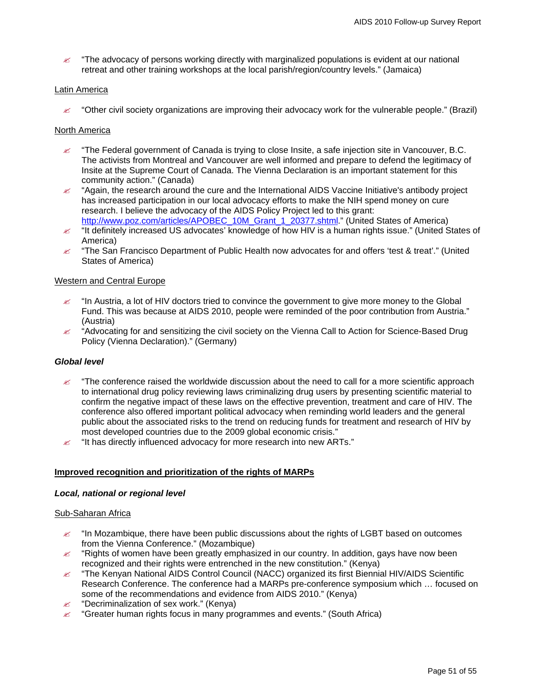$\approx$  "The advocacy of persons working directly with marginalized populations is evident at our national retreat and other training workshops at the local parish/region/country levels." (Jamaica)

#### Latin America

 $\ll$  "Other civil society organizations are improving their advocacy work for the vulnerable people." (Brazil)

### North America

- $\approx$  "The Federal government of Canada is trying to close Insite, a safe injection site in Vancouver, B.C. The activists from Montreal and Vancouver are well informed and prepare to defend the legitimacy of Insite at the Supreme Court of Canada. The Vienna Declaration is an important statement for this community action." (Canada)
- $\approx$  "Again, the research around the cure and the International AIDS Vaccine Initiative's antibody project has increased participation in our local advocacy efforts to make the NIH spend money on cure research. I believe the advocacy of the AIDS Policy Project led to this grant: [http://www.poz.com/articles/APOBEC\\_10M\\_Grant\\_1\\_20377.shtml](http://www.poz.com/articles/APOBEC_10M_Grant_1_20377.shtml)." (United States of America)
- $\approx$  "It definitely increased US advocates' knowledge of how HIV is a human rights issue." (United States of America)
- $\ll$  "The San Francisco Department of Public Health now advocates for and offers 'test & treat'." (United States of America)

#### Western and Central Europe

- $\approx$  "In Austria, a lot of HIV doctors tried to convince the government to give more money to the Global Fund. This was because at AIDS 2010, people were reminded of the poor contribution from Austria." (Austria)
- $\approx$  "Advocating for and sensitizing the civil society on the Vienna Call to Action for Science-Based Drug Policy (Vienna Declaration)." (Germany)

# *Global level*

- $\approx$  "The conference raised the worldwide discussion about the need to call for a more scientific approach to international drug policy reviewing laws criminalizing drug users by presenting scientific material to confirm the negative impact of these laws on the effective prevention, treatment and care of HIV. The conference also offered important political advocacy when reminding world leaders and the general public about the associated risks to the trend on reducing funds for treatment and research of HIV by most developed countries due to the 2009 global economic crisis."
- $\mathbb Z$  "It has directly influenced advocacy for more research into new ARTs."

#### **Improved recognition and prioritization of the rights of MARPs**

#### *Local, national or regional level*

#### Sub-Saharan Africa

- $\approx$  "In Mozambique, there have been public discussions about the rights of LGBT based on outcomes from the Vienna Conference." (Mozambique)
- $\mathscr{L}$  "Rights of women have been greatly emphasized in our country. In addition, gays have now been recognized and their rights were entrenched in the new constitution." (Kenya)
- $\mathscr{L}$  "The Kenyan National AIDS Control Council (NACC) organized its first Biennial HIV/AIDS Scientific Research Conference. The conference had a MARPs pre-conference symposium which … focused on some of the recommendations and evidence from AIDS 2010." (Kenya)
- $\mathscr{L}$  "Decriminalization of sex work." (Kenya)
- $\mathscr A$  "Greater human rights focus in many programmes and events." (South Africa)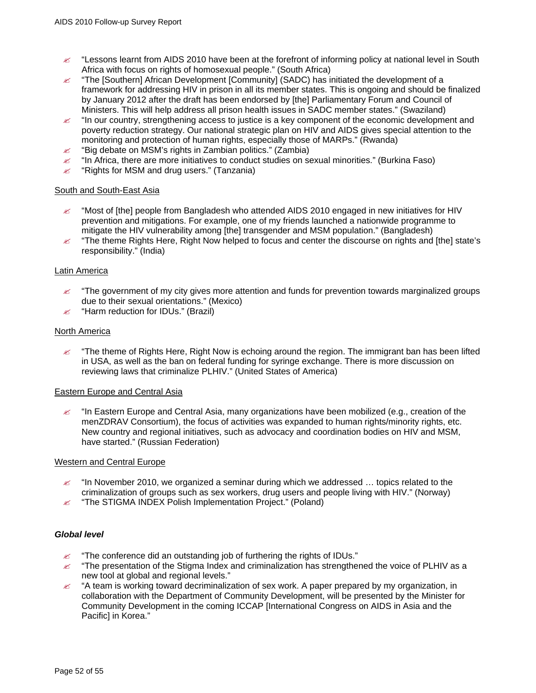- $\approx$  "Lessons learnt from AIDS 2010 have been at the forefront of informing policy at national level in South Africa with focus on rights of homosexual people." (South Africa)
- $\leq$  "The [Southern] African Development [Community] (SADC) has initiated the development of a framework for addressing HIV in prison in all its member states. This is ongoing and should be finalized by January 2012 after the draft has been endorsed by [the] Parliamentary Forum and Council of Ministers. This will help address all prison health issues in SADC member states." (Swaziland)
- $\mathscr Z$  "In our country, strengthening access to justice is a key component of the economic development and poverty reduction strategy. Our national strategic plan on HIV and AIDS gives special attention to the monitoring and protection of human rights, especially those of MARPs." (Rwanda)
- $\mathscr{L}$  "Big debate on MSM's rights in Zambian politics." (Zambia)
- $\approx$  "In Africa, there are more initiatives to conduct studies on sexual minorities." (Burkina Faso)
- $\mathscr{L}$  "Rights for MSM and drug users." (Tanzania)

#### South and South-East Asia

- $\approx$  "Most of [the] people from Bangladesh who attended AIDS 2010 engaged in new initiatives for HIV prevention and mitigations. For example, one of my friends launched a nationwide programme to mitigate the HIV vulnerability among [the] transgender and MSM population." (Bangladesh)
- $\leq$  "The theme Rights Here, Right Now helped to focus and center the discourse on rights and [the] state's responsibility." (India)

#### Latin America

- $\ll$  "The government of my city gives more attention and funds for prevention towards marginalized groups due to their sexual orientations." (Mexico)
- $\mathscr{L}$  "Harm reduction for IDUs." (Brazil)

#### North America

 $\ll$  "The theme of Rights Here, Right Now is echoing around the region. The immigrant ban has been lifted in USA, as well as the ban on federal funding for syringe exchange. There is more discussion on reviewing laws that criminalize PLHIV." (United States of America)

#### Eastern Europe and Central Asia

 $\leq$  "In Eastern Europe and Central Asia, many organizations have been mobilized (e.g., creation of the menZDRAV Consortium), the focus of activities was expanded to human rights/minority rights, etc. New country and regional initiatives, such as advocacy and coordination bodies on HIV and MSM, have started." (Russian Federation)

#### Western and Central Europe

- $\approx$  "In November 2010, we organized a seminar during which we addressed ... topics related to the criminalization of groups such as sex workers, drug users and people living with HIV." (Norway)
- $\mathscr{L}$  "The STIGMA INDEX Polish Implementation Project." (Poland)

#### *Global level*

- $\mathbb Z$  "The conference did an outstanding job of furthering the rights of IDUs."
- $\ll$  "The presentation of the Stigma Index and criminalization has strengthened the voice of PLHIV as a new tool at global and regional levels."
- $\ll$  "A team is working toward decriminalization of sex work. A paper prepared by my organization, in collaboration with the Department of Community Development, will be presented by the Minister for Community Development in the coming ICCAP [International Congress on AIDS in Asia and the Pacific] in Korea."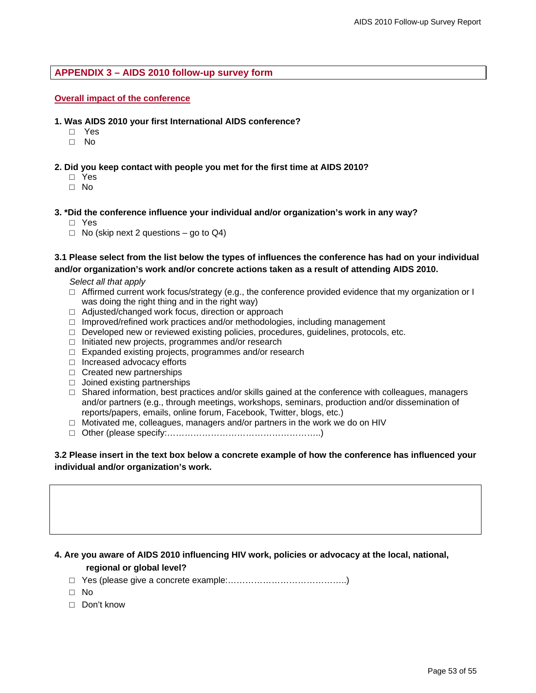# <span id="page-52-0"></span>**APPENDIX 3 – AIDS 2010 follow-up survey form**

#### **Overall impact of the conference**

- **1. Was AIDS 2010 your first International AIDS conference?** 
	- □ Yes
	- □ No
- **2. Did you keep contact with people you met for the first time at AIDS 2010?**
	- □ Yes
	- □ No
- **3. \*Did the conference influence your individual and/or organization's work in any way?** 
	- □ Yes
	- $\Box$  No (skip next 2 questions go to Q4)

### **3.1 Please select from the list below the types of influences the conference has had on your individual and/or organization's work and/or concrete actions taken as a result of attending AIDS 2010.**

*Select all that apply* 

- $\Box$  Affirmed current work focus/strategy (e.g., the conference provided evidence that my organization or I was doing the right thing and in the right way)
- □ Adjusted/changed work focus, direction or approach
- □ Improved/refined work practices and/or methodologies, including management
- $\Box$  Developed new or reviewed existing policies, procedures, guidelines, protocols, etc.
- □ Initiated new projects, programmes and/or research
- □ Expanded existing projects, programmes and/or research
- □ Increased advocacy efforts
- □ Created new partnerships
- □ Joined existing partnerships
- $\square$  Shared information, best practices and/or skills gained at the conference with colleagues, managers and/or partners (e.g., through meetings, workshops, seminars, production and/or dissemination of reports/papers, emails, online forum, Facebook, Twitter, blogs, etc.)
- $\Box$  Motivated me, colleagues, managers and/or partners in the work we do on HIV
- □ Other (please specify:……………………………………………..)

# **3.2 Please insert in the text box below a concrete example of how the conference has influenced your individual and/or organization's work.**

# **4. Are you aware of AIDS 2010 influencing HIV work, policies or advocacy at the local, national,**

# **regional or global level?**

- □ Yes (please give a concrete example:…………………………………..)
- □ No
- □ Don't know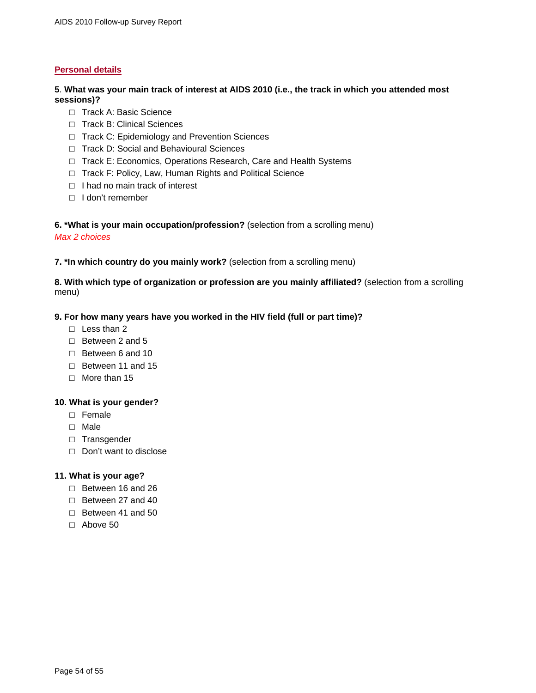# **Personal details**

# **5**. **What was your main track of interest at AIDS 2010 (i.e., the track in which you attended most sessions)?**

- □ Track A: Basic Science
- □ Track B: Clinical Sciences
- □ Track C: Epidemiology and Prevention Sciences
- □ Track D: Social and Behavioural Sciences
- □ Track E: Economics, Operations Research, Care and Health Systems
- □ Track F: Policy, Law, Human Rights and Political Science
- □ I had no main track of interest
- □ I don't remember

# **6. \*What is your main occupation/profession?** (selection from a scrolling menu)

### *Max 2 choices*

**7. \*In which country do you mainly work?** (selection from a scrolling menu)

# **8. With which type of organization or profession are you mainly affiliated?** (selection from a scrolling menu)

# **9. For how many years have you worked in the HIV field (full or part time)?**

- □ Less than 2
- $\Box$  Between 2 and 5
- □ Between 6 and 10
- □ Between 11 and 15
- $\Box$  More than 15

# **10. What is your gender?**

- □ Female
- □ Male
- □ Transgender
- □ Don't want to disclose

# **11. What is your age?**

- □ Between 16 and 26
- □ Between 27 and 40
- □ Between 41 and 50
- □ Above 50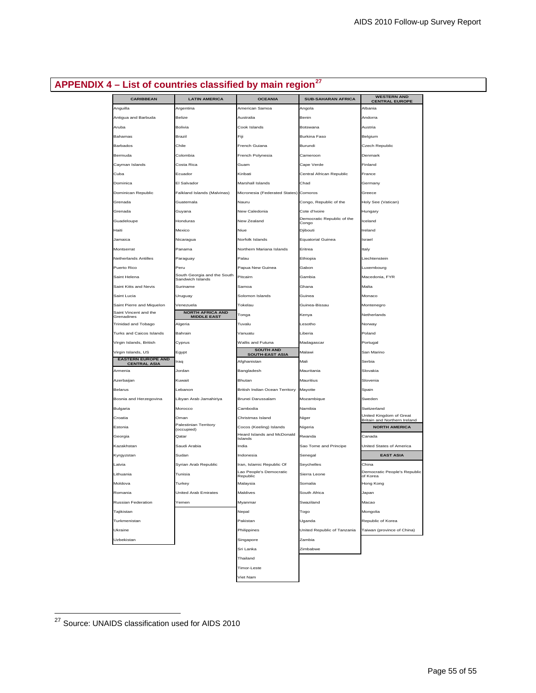# <span id="page-54-0"></span>**APPENDIX 4 – List of countries classified by main region[27](#page-54-1)**

| <b>CARIBBEAN</b>                                   | <b>LATIN AMERICA</b>                 | <b>OCEANIA</b>                        | <b>SUB-SAHARAN AFRICA</b>   | <b>WESTERN AND</b><br><b>CENTRAL EUROPE</b>             |
|----------------------------------------------------|--------------------------------------|---------------------------------------|-----------------------------|---------------------------------------------------------|
| Anguilla                                           | Argentina                            | American Samoa                        | Angola                      | Albania                                                 |
| Antigua and Barbuda                                | Belize                               | Australia                             | Benin                       | Andorra                                                 |
| Aruba                                              | Bolivia                              | Cook Islands                          | Botswana                    | Austria                                                 |
| Bahamas                                            | Brazil                               | Fiii                                  | Burkina Faso                | Belgium                                                 |
| Barbados                                           | Chile                                | French Guiana                         | Burundi                     | Czech Republic                                          |
| Bermuda                                            | Colombia                             | French Polynesia                      | Cameroon                    | Denmark                                                 |
| Cayman Islands                                     | Costa Rica                           | Guam                                  | Cape Verde                  | Finland                                                 |
| Cuba                                               | Ecuador                              | Kiribati                              | Central African Republic    | France                                                  |
| Dominica                                           | El Salvador                          | Marshall Islands                      | Chad                        | Germany                                                 |
| Dominican Republic                                 | Falkland Islands (Malvinas)          | Micronesia (Federated States) Comoros |                             | Greece                                                  |
| Grenada                                            | Guatemala                            | Nauru                                 | Congo, Republic of the      | Holy See (Vatican)                                      |
| Grenada                                            | Guyana                               | New Caledonia                         | Cote d'Ivoire               | Hungary                                                 |
| Guadeloupe                                         | Honduras                             | New Zealand                           | Democratic Republic of the  | Iceland                                                 |
| Haiti                                              | Mexico                               | Niue                                  | Congo<br>Djibouti           | Ireland                                                 |
| Jamaica                                            | Nicaragua                            | Norfolk Islands                       | <b>Equatorial Guinea</b>    | Israel                                                  |
| Montserrat                                         | Panama                               | Northern Mariana Islands              | Eritrea                     | Italy                                                   |
| Netherlands Antilles                               |                                      | Palau                                 |                             | Liechtenstein                                           |
| Puerto Rico                                        | Paraguay<br>Peru                     | Papua New Guinea                      | Ethiopia<br>Gabon           |                                                         |
|                                                    | South Georgia and the South          |                                       |                             | Luxembourg                                              |
| Saint Helena                                       | Sandwich Islands                     | Pitcairn                              | Gambia                      | Macedonia, FYR                                          |
| Saint Kitts and Nevis                              | Suriname                             | Samoa                                 | Ghana                       | Malta                                                   |
| Saint Lucia                                        | Uruguay                              | Solomon Islands                       | Guinea                      | Monaco                                                  |
| Saint Pierre and Miquelon<br>Saint Vincent and the | Venezuela<br><b>NORTH AFRICA AND</b> | Tokelau                               | Guinea-Bissau               | Montenegro                                              |
| Grenadines                                         | <b>MIDDLE EAST</b>                   | Tonga                                 | Kenya                       | Netherlands                                             |
| Trinidad and Tobago                                | Algeria                              | Tuvalu                                | Lesotho                     | Norway                                                  |
| Turks and Caicos Islands                           | Bahrain                              | Vanuatu                               | Liberia                     | Poland                                                  |
| Virgin Islands, British                            | Cyprus                               | Wallis and Futuna<br><b>SOUTH AND</b> | Madagascar                  | Portugal                                                |
| Virgin Islands, US                                 | Egypt                                | <b>SOUTH-EAST ASIA</b>                | Malawi                      | San Marino                                              |
| <b>EASTERN EUROPE AND</b><br><b>CENTRAL ASIA</b>   | Iraq                                 | Afghanistan                           | Mali                        | Serbia                                                  |
| Armenia                                            | Jordan                               | Bangladesh                            | Mauritania                  | Slovakia                                                |
| Azerbaijan                                         | Kuwait                               | <b>Bhutan</b>                         | Mauritius                   | Slovenia                                                |
| Belarus                                            | Lebanon                              | British Indian Ocean Territory        | Mayotte                     | Spain                                                   |
| Bosnia and Herzegovina                             | Libyan Arab Jamahiriya               | Brunei Darussalam                     | Mozambique                  | Sweden                                                  |
| Bulgaria                                           | Morocco                              | Cambodia                              | Namibia                     | Switzerland                                             |
| Croatia                                            | Oman                                 | Christmas Island                      | Niger                       | United Kingdom of Great<br>Britain and Northern Ireland |
| Estonia                                            | Palestinian Territory<br>(occupied)  | Cocos (Keeling) Islands               | Nigeria                     | <b>NORTH AMERICA</b>                                    |
| Georgia                                            | Qatar                                | Heard Islands and McDonald<br>Islands | Rwanda                      | Canada                                                  |
| Kazakhstan                                         | Saudi Arabia                         | India                                 | Sao Tome and Principe       | United States of America                                |
| Kyrgyzstan                                         | Sudan                                | Indonesia                             | Senegal                     | <b>EAST ASIA</b>                                        |
| Latvia                                             | Syrian Arab Republic                 | Iran, Islamic Republic Of             | Seychelles                  | China                                                   |
| Lithuania                                          | Tunisia                              | Lao People's Democratic<br>Republic   | Sierra Leone                | Democratic People's Republic<br>of Korea                |
| Moldova                                            | Turkey                               | Malaysia                              | Somalia                     | Hong Kong                                               |
| Romania                                            | United Arab Emirates                 | Maldives                              | South Africa                | Japan                                                   |
| Russian Federation                                 | Yemen                                | Myanmar                               | Swaziland                   | Macao                                                   |
| Tajikistan                                         |                                      | Nepal                                 | Togo                        | Mongolia                                                |
| Turkmenistan                                       |                                      | Pakistan                              | Uganda                      | Republic of Korea                                       |
| Ukraine                                            |                                      | Philippines                           | United Republic of Tanzania | Taiwan (province of China)                              |
| Uzbekistan                                         |                                      | Singapore                             | Zambia                      |                                                         |
|                                                    |                                      | Sri Lanka                             | Zimbabwe                    |                                                         |
|                                                    |                                      | Thailand                              |                             |                                                         |
|                                                    |                                      | Timor-Leste                           |                             |                                                         |
|                                                    |                                      | Viet Nam                              |                             |                                                         |
|                                                    |                                      |                                       |                             |                                                         |

 $\mathcal{L}^{\text{max}}$  .

 $\overline{a}$ 

<span id="page-54-1"></span><sup>&</sup>lt;sup>27</sup> Source: UNAIDS classification used for AIDS 2010